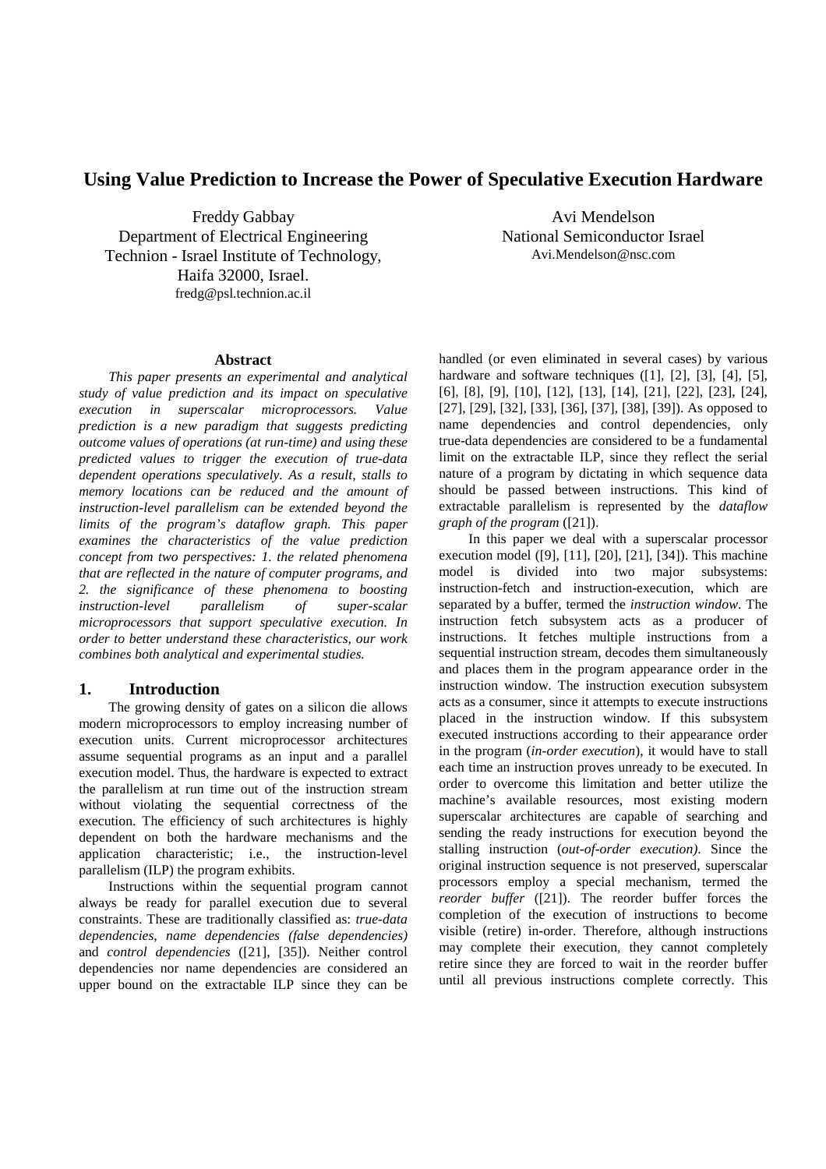# **Using Value Prediction to Increase the Power of Speculative Execution Hardware**

Freddy Gabbay Department of Electrical Engineering Technion - Israel Institute of Technology, Haifa 32000, Israel. fredg@psl.technion.ac.il

Avi Mendelson National Semiconductor Israel Avi.Mendelson@nsc.com

## **Abstract**

*This paper presents an experimental and analytical study of value prediction and its impact on speculative execution in superscalar microprocessors. Value prediction is a new paradigm that suggests predicting outcome values of operations (at run-time) and using these predicted values to trigger the execution of true-data dependent operations speculatively. As a result, stalls to memory locations can be reduced and the amount of instruction-level parallelism can be extended beyond the limits of the program's dataflow graph. This paper examines the characteristics of the value prediction concept from two perspectives: 1. the related phenomena that are reflected in the nature of computer programs, and 2. the significance of these phenomena to boosting instruction-level parallelism of super-scalar microprocessors that support speculative execution. In order to better understand these characteristics, our work combines both analytical and experimental studies.*

### **1. Introduction**

The growing density of gates on a silicon die allows modern microprocessors to employ increasing number of execution units. Current microprocessor architectures assume sequential programs as an input and a parallel execution model. Thus, the hardware is expected to extract the parallelism at run time out of the instruction stream without violating the sequential correctness of the execution. The efficiency of such architectures is highly dependent on both the hardware mechanisms and the application characteristic; i.e., the instruction-level parallelism (ILP) the program exhibits.

Instructions within the sequential program cannot always be ready for parallel execution due to several constraints. These are traditionally classified as: *true-data dependencies*, *name dependencies (false dependencies)* and *control dependencies* ([21], [35]). Neither control dependencies nor name dependencies are considered an upper bound on the extractable ILP since they can be handled (or even eliminated in several cases) by various hardware and software techniques ([1], [2], [3], [4], [5], [6], [8], [9], [10], [12], [13], [14], [21], [22], [23], [24], [27], [29], [32], [33], [36], [37], [38], [39]). As opposed to name dependencies and control dependencies, only true-data dependencies are considered to be a fundamental limit on the extractable ILP, since they reflect the serial nature of a program by dictating in which sequence data should be passed between instructions. This kind of extractable parallelism is represented by the *dataflow graph of the program* ([21]).

In this paper we deal with a superscalar processor execution model ([9], [11], [20], [21], [34]). This machine model is divided into two major subsystems: instruction-fetch and instruction-execution, which are separated by a buffer, termed the *instruction window*. The instruction fetch subsystem acts as a producer of instructions. It fetches multiple instructions from a sequential instruction stream, decodes them simultaneously and places them in the program appearance order in the instruction window. The instruction execution subsystem acts as a consumer, since it attempts to execute instructions placed in the instruction window. If this subsystem executed instructions according to their appearance order in the program (*in-order execution*), it would have to stall each time an instruction proves unready to be executed. In order to overcome this limitation and better utilize the machine's available resources, most existing modern superscalar architectures are capable of searching and sending the ready instructions for execution beyond the stalling instruction (*out-of-order execution)*. Since the original instruction sequence is not preserved, superscalar processors employ a special mechanism, termed the *reorder buffer* ([21]). The reorder buffer forces the completion of the execution of instructions to become visible (retire) in-order. Therefore, although instructions may complete their execution, they cannot completely retire since they are forced to wait in the reorder buffer until all previous instructions complete correctly. This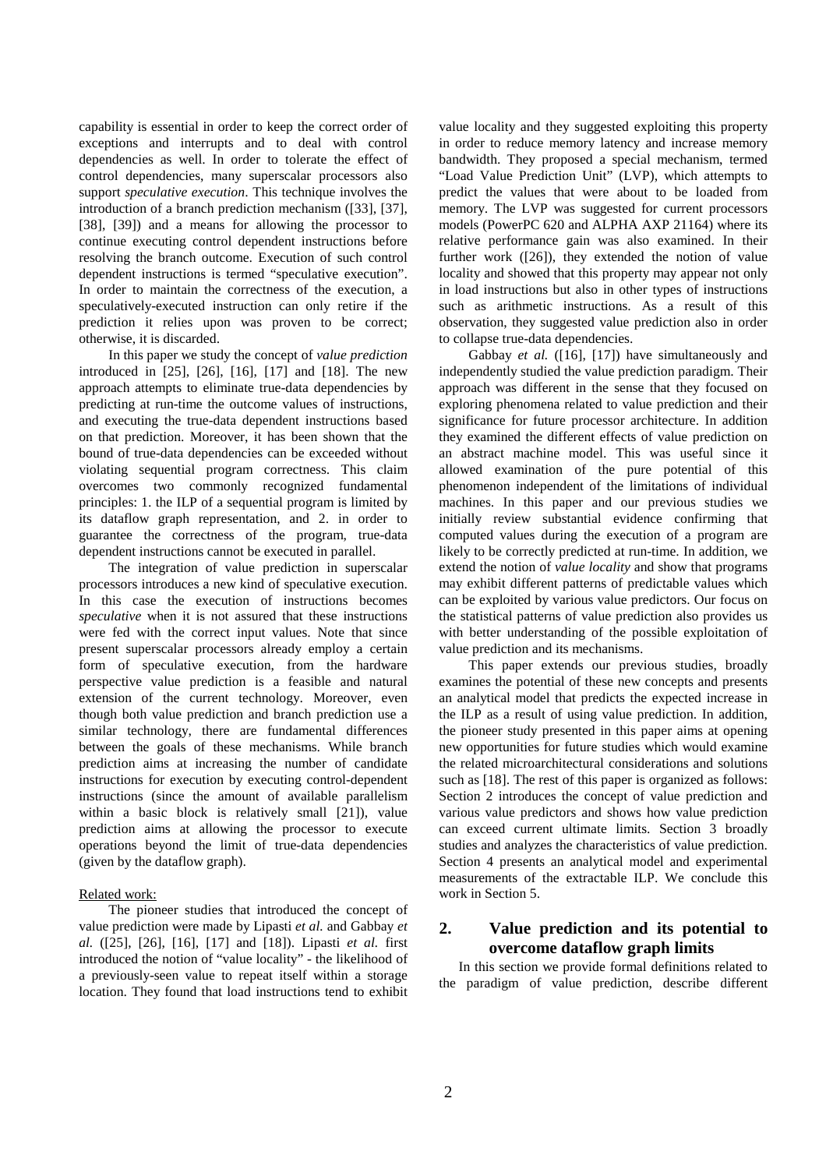capability is essential in order to keep the correct order of exceptions and interrupts and to deal with control dependencies as well. In order to tolerate the effect of control dependencies, many superscalar processors also support *speculative execution*. This technique involves the introduction of a branch prediction mechanism ([33], [37], [38], [39]) and a means for allowing the processor to continue executing control dependent instructions before resolving the branch outcome. Execution of such control dependent instructions is termed "speculative execution". In order to maintain the correctness of the execution, a speculatively-executed instruction can only retire if the prediction it relies upon was proven to be correct; otherwise, it is discarded.

In this paper we study the concept of *value prediction* introduced in [25], [26], [16], [17] and [18]. The new approach attempts to eliminate true-data dependencies by predicting at run-time the outcome values of instructions, and executing the true-data dependent instructions based on that prediction. Moreover, it has been shown that the bound of true-data dependencies can be exceeded without violating sequential program correctness. This claim overcomes two commonly recognized fundamental principles: 1. the ILP of a sequential program is limited by its dataflow graph representation, and 2. in order to guarantee the correctness of the program, true-data dependent instructions cannot be executed in parallel.

The integration of value prediction in superscalar processors introduces a new kind of speculative execution. In this case the execution of instructions becomes *speculative* when it is not assured that these instructions were fed with the correct input values. Note that since present superscalar processors already employ a certain form of speculative execution, from the hardware perspective value prediction is a feasible and natural extension of the current technology. Moreover, even though both value prediction and branch prediction use a similar technology, there are fundamental differences between the goals of these mechanisms. While branch prediction aims at increasing the number of candidate instructions for execution by executing control-dependent instructions (since the amount of available parallelism within a basic block is relatively small [21]), value prediction aims at allowing the processor to execute operations beyond the limit of true-data dependencies (given by the dataflow graph).

#### Related work:

The pioneer studies that introduced the concept of value prediction were made by Lipasti *et al.* and Gabbay *et al.* ([25], [26], [16], [17] and [18]). Lipasti *et al.* first introduced the notion of "value locality" - the likelihood of a previously-seen value to repeat itself within a storage location. They found that load instructions tend to exhibit

value locality and they suggested exploiting this property in order to reduce memory latency and increase memory bandwidth. They proposed a special mechanism, termed "Load Value Prediction Unit" (LVP), which attempts to predict the values that were about to be loaded from memory. The LVP was suggested for current processors models (PowerPC 620 and ALPHA AXP 21164) where its relative performance gain was also examined. In their further work ([26]), they extended the notion of value locality and showed that this property may appear not only in load instructions but also in other types of instructions such as arithmetic instructions. As a result of this observation, they suggested value prediction also in order to collapse true-data dependencies.

Gabbay *et al.* ([16], [17]) have simultaneously and independently studied the value prediction paradigm. Their approach was different in the sense that they focused on exploring phenomena related to value prediction and their significance for future processor architecture. In addition they examined the different effects of value prediction on an abstract machine model. This was useful since it allowed examination of the pure potential of this phenomenon independent of the limitations of individual machines. In this paper and our previous studies we initially review substantial evidence confirming that computed values during the execution of a program are likely to be correctly predicted at run-time. In addition, we extend the notion of *value locality* and show that programs may exhibit different patterns of predictable values which can be exploited by various value predictors. Our focus on the statistical patterns of value prediction also provides us with better understanding of the possible exploitation of value prediction and its mechanisms.

This paper extends our previous studies, broadly examines the potential of these new concepts and presents an analytical model that predicts the expected increase in the ILP as a result of using value prediction. In addition, the pioneer study presented in this paper aims at opening new opportunities for future studies which would examine the related microarchitectural considerations and solutions such as [18]. The rest of this paper is organized as follows: Section 2 introduces the concept of value prediction and various value predictors and shows how value prediction can exceed current ultimate limits. Section 3 broadly studies and analyzes the characteristics of value prediction. Section 4 presents an analytical model and experimental measurements of the extractable ILP. We conclude this work in Section 5.

# **2. Value prediction and its potential to overcome dataflow graph limits**

In this section we provide formal definitions related to the paradigm of value prediction, describe different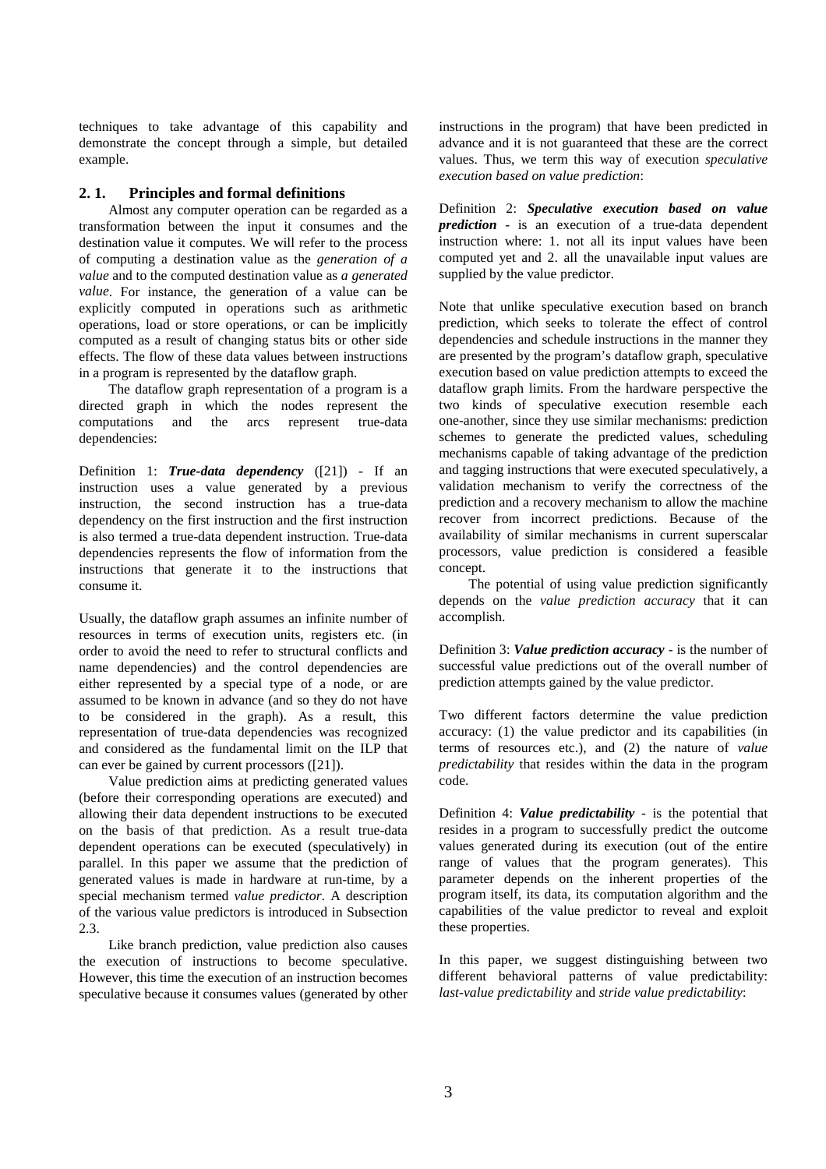techniques to take advantage of this capability and demonstrate the concept through a simple, but detailed example.

#### **2. 1. Principles and formal definitions**

Almost any computer operation can be regarded as a transformation between the input it consumes and the destination value it computes. We will refer to the process of computing a destination value as the *generation of a value* and to the computed destination value as *a generated value*. For instance, the generation of a value can be explicitly computed in operations such as arithmetic operations, load or store operations, or can be implicitly computed as a result of changing status bits or other side effects. The flow of these data values between instructions in a program is represented by the dataflow graph.

The dataflow graph representation of a program is a directed graph in which the nodes represent the computations and the arcs represent true-data dependencies:

Definition 1: *True-data dependency* ([21]) - If an instruction uses a value generated by a previous instruction, the second instruction has a true-data dependency on the first instruction and the first instruction is also termed a true-data dependent instruction. True-data dependencies represents the flow of information from the instructions that generate it to the instructions that consume it.

Usually, the dataflow graph assumes an infinite number of resources in terms of execution units, registers etc. (in order to avoid the need to refer to structural conflicts and name dependencies) and the control dependencies are either represented by a special type of a node, or are assumed to be known in advance (and so they do not have to be considered in the graph). As a result, this representation of true-data dependencies was recognized and considered as the fundamental limit on the ILP that can ever be gained by current processors ([21]).

Value prediction aims at predicting generated values (before their corresponding operations are executed) and allowing their data dependent instructions to be executed on the basis of that prediction. As a result true-data dependent operations can be executed (speculatively) in parallel. In this paper we assume that the prediction of generated values is made in hardware at run-time, by a special mechanism termed *value predictor*. A description of the various value predictors is introduced in Subsection 2.3.

Like branch prediction, value prediction also causes the execution of instructions to become speculative. However, this time the execution of an instruction becomes speculative because it consumes values (generated by other instructions in the program) that have been predicted in advance and it is not guaranteed that these are the correct values. Thus, we term this way of execution *speculative execution based on value prediction*:

Definition 2: *Speculative execution based on value prediction* - is an execution of a true-data dependent instruction where: 1. not all its input values have been computed yet and 2. all the unavailable input values are supplied by the value predictor.

Note that unlike speculative execution based on branch prediction, which seeks to tolerate the effect of control dependencies and schedule instructions in the manner they are presented by the program's dataflow graph, speculative execution based on value prediction attempts to exceed the dataflow graph limits. From the hardware perspective the two kinds of speculative execution resemble each one-another, since they use similar mechanisms: prediction schemes to generate the predicted values, scheduling mechanisms capable of taking advantage of the prediction and tagging instructions that were executed speculatively, a validation mechanism to verify the correctness of the prediction and a recovery mechanism to allow the machine recover from incorrect predictions. Because of the availability of similar mechanisms in current superscalar processors, value prediction is considered a feasible concept.

The potential of using value prediction significantly depends on the *value prediction accuracy* that it can accomplish.

Definition 3: *Value prediction accuracy* - is the number of successful value predictions out of the overall number of prediction attempts gained by the value predictor.

Two different factors determine the value prediction accuracy: (1) the value predictor and its capabilities (in terms of resources etc.), and (2) the nature of *value predictability* that resides within the data in the program code.

Definition 4: *Value predictability* - is the potential that resides in a program to successfully predict the outcome values generated during its execution (out of the entire range of values that the program generates). This parameter depends on the inherent properties of the program itself, its data, its computation algorithm and the capabilities of the value predictor to reveal and exploit these properties.

In this paper, we suggest distinguishing between two different behavioral patterns of value predictability: *last-value predictability* and *stride value predictability*: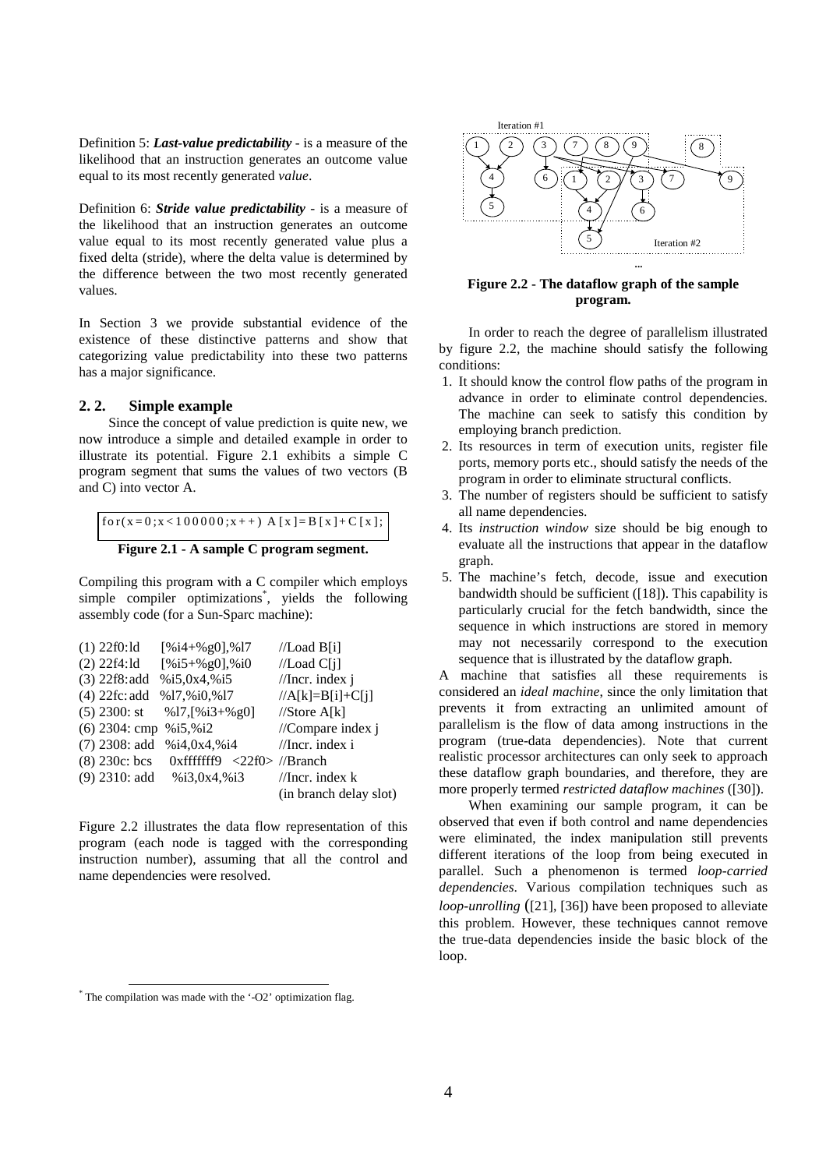Definition 5: *Last-value predictability* - is a measure of the likelihood that an instruction generates an outcome value equal to its most recently generated *value*.

Definition 6: *Stride value predictability* - is a measure of the likelihood that an instruction generates an outcome value equal to its most recently generated value plus a fixed delta (stride), where the delta value is determined by the difference between the two most recently generated values.

In Section 3 we provide substantial evidence of the existence of these distinctive patterns and show that categorizing value predictability into these two patterns has a major significance.

### **2. 2. Simple example**

Since the concept of value prediction is quite new, we now introduce a simple and detailed example in order to illustrate its potential. Figure 2.1 exhibits a simple C program segment that sums the values of two vectors (B and C) into vector A.

```
for (x = 0; x < 1000000; x++) A [x] = B[x] + C[x];
```


Compiling this program with a C compiler which employs simple compiler optimizations<sup>\*</sup>, yields the following assembly code (for a Sun-Sparc machine):

```
(1) 22f0:ld [%i4+%g0], %17 //Load B[i]
(2) 22f4:ld [%i5+%g0],%i0 //Load C[j]
(3) 22f8:add %i5,0x4,%i5 //Incr. index j
(4) 22fc: add \%17,\%i0,\%17 //A[k]=B[i]+C[i]
(5) 2300: st \%17,[\%i3+\%g0] //Store A[k]
(6) 2304: cmp %i5,%i2 //Compare index j
(7) 2308: add \%i4,0x4,%i4 //Incr. index i
(8) 230c: bcs 0x ffffffff9 <22f0> //Branch
(9) 2310: add \frac{\%i3,0x4,\%i3}{\%i3} //Incr. index k
                               (in branch delay slot)
```
Figure 2.2 illustrates the data flow representation of this program (each node is tagged with the corresponding instruction number), assuming that all the control and name dependencies were resolved.



**Figure 2.2 - The dataflow graph of the sample program.**

In order to reach the degree of parallelism illustrated by figure 2.2, the machine should satisfy the following conditions:

- 1. It should know the control flow paths of the program in advance in order to eliminate control dependencies. The machine can seek to satisfy this condition by employing branch prediction.
- 2. Its resources in term of execution units, register file ports, memory ports etc., should satisfy the needs of the program in order to eliminate structural conflicts.
- 3. The number of registers should be sufficient to satisfy all name dependencies.
- 4. Its *instruction window* size should be big enough to evaluate all the instructions that appear in the dataflow graph.
- 5. The machine's fetch, decode, issue and execution bandwidth should be sufficient ([18]). This capability is particularly crucial for the fetch bandwidth, since the sequence in which instructions are stored in memory may not necessarily correspond to the execution sequence that is illustrated by the dataflow graph.

A machine that satisfies all these requirements is considered an *ideal machine*, since the only limitation that prevents it from extracting an unlimited amount of parallelism is the flow of data among instructions in the program (true-data dependencies). Note that current realistic processor architectures can only seek to approach these dataflow graph boundaries, and therefore, they are more properly termed *restricted dataflow machines* ([30]).

When examining our sample program, it can be observed that even if both control and name dependencies were eliminated, the index manipulation still prevents different iterations of the loop from being executed in parallel. Such a phenomenon is termed *loop-carried dependencies*. Various compilation techniques such as *loop-unrolling* ([21], [36]) have been proposed to alleviate this problem. However, these techniques cannot remove the true-data dependencies inside the basic block of the loop.

 $\overline{a}$ 

<sup>\*</sup> The compilation was made with the '-O2' optimization flag.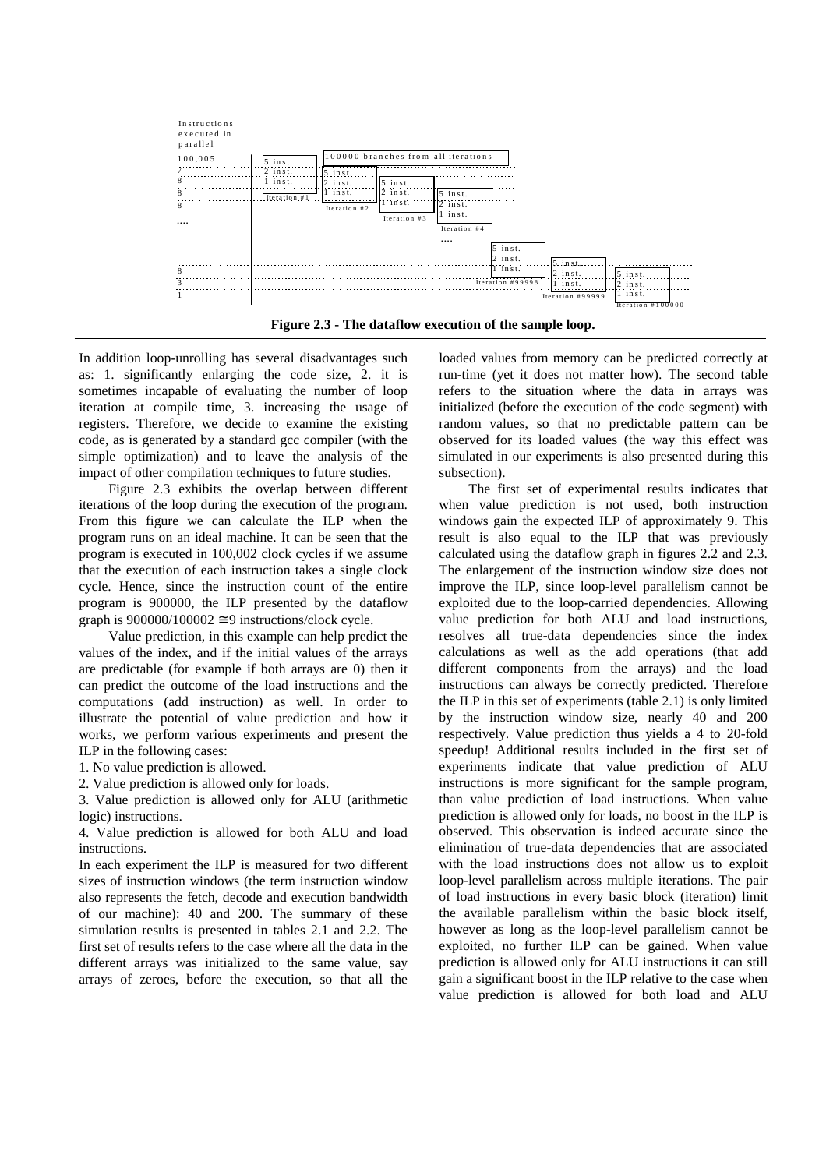

**Figure 2.3 - The dataflow execution of the sample loop.**

In addition loop-unrolling has several disadvantages such as: 1. significantly enlarging the code size, 2. it is sometimes incapable of evaluating the number of loop iteration at compile time, 3. increasing the usage of registers. Therefore, we decide to examine the existing code, as is generated by a standard gcc compiler (with the simple optimization) and to leave the analysis of the impact of other compilation techniques to future studies.

Figure 2.3 exhibits the overlap between different iterations of the loop during the execution of the program. From this figure we can calculate the ILP when the program runs on an ideal machine. It can be seen that the program is executed in 100,002 clock cycles if we assume that the execution of each instruction takes a single clock cycle. Hence, since the instruction count of the entire program is 900000, the ILP presented by the dataflow graph is  $900000/100002 \approx 9$  instructions/clock cycle.

Value prediction, in this example can help predict the values of the index, and if the initial values of the arrays are predictable (for example if both arrays are 0) then it can predict the outcome of the load instructions and the computations (add instruction) as well. In order to illustrate the potential of value prediction and how it works, we perform various experiments and present the ILP in the following cases:

1. No value prediction is allowed.

2. Value prediction is allowed only for loads.

3. Value prediction is allowed only for ALU (arithmetic logic) instructions.

4. Value prediction is allowed for both ALU and load instructions.

In each experiment the ILP is measured for two different sizes of instruction windows (the term instruction window also represents the fetch, decode and execution bandwidth of our machine): 40 and 200. The summary of these simulation results is presented in tables 2.1 and 2.2. The first set of results refers to the case where all the data in the different arrays was initialized to the same value, say arrays of zeroes, before the execution, so that all the loaded values from memory can be predicted correctly at run-time (yet it does not matter how). The second table refers to the situation where the data in arrays was initialized (before the execution of the code segment) with random values, so that no predictable pattern can be observed for its loaded values (the way this effect was simulated in our experiments is also presented during this subsection).

The first set of experimental results indicates that when value prediction is not used, both instruction windows gain the expected ILP of approximately 9. This result is also equal to the ILP that was previously calculated using the dataflow graph in figures 2.2 and 2.3. The enlargement of the instruction window size does not improve the ILP, since loop-level parallelism cannot be exploited due to the loop-carried dependencies. Allowing value prediction for both ALU and load instructions, resolves all true-data dependencies since the index calculations as well as the add operations (that add different components from the arrays) and the load instructions can always be correctly predicted. Therefore the ILP in this set of experiments (table 2.1) is only limited by the instruction window size, nearly 40 and 200 respectively. Value prediction thus yields a 4 to 20-fold speedup! Additional results included in the first set of experiments indicate that value prediction of ALU instructions is more significant for the sample program, than value prediction of load instructions. When value prediction is allowed only for loads, no boost in the ILP is observed. This observation is indeed accurate since the elimination of true-data dependencies that are associated with the load instructions does not allow us to exploit loop-level parallelism across multiple iterations. The pair of load instructions in every basic block (iteration) limit the available parallelism within the basic block itself, however as long as the loop-level parallelism cannot be exploited, no further ILP can be gained. When value prediction is allowed only for ALU instructions it can still gain a significant boost in the ILP relative to the case when value prediction is allowed for both load and ALU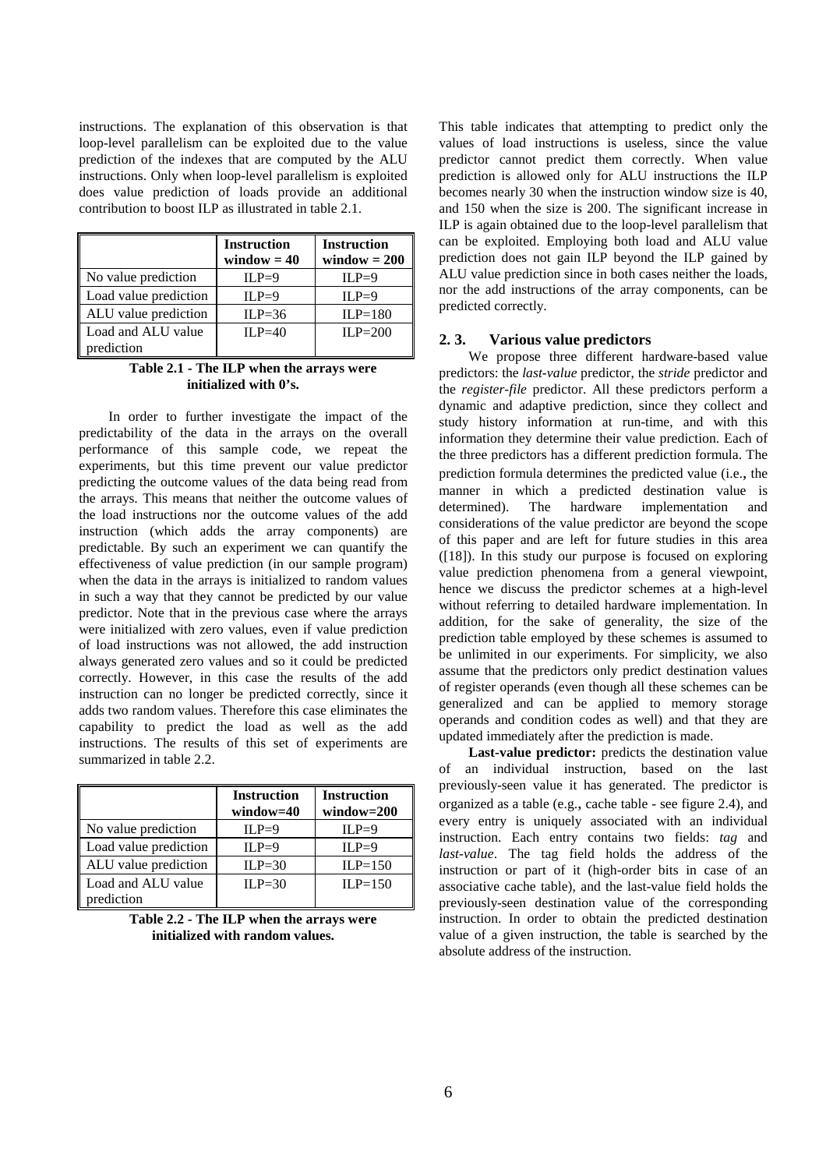instructions. The explanation of this observation is that loop-level parallelism can be exploited due to the value prediction of the indexes that are computed by the ALU instructions. Only when loop-level parallelism is exploited does value prediction of loads provide an additional contribution to boost ILP as illustrated in table 2.1.

|                                  | <b>Instruction</b><br>window $= 40$ | <b>Instruction</b><br>$window = 200$ |
|----------------------------------|-------------------------------------|--------------------------------------|
| No value prediction              | $ILP=9$                             | $ILP=9$                              |
| Load value prediction            | $ILP=9$                             | $ILP=9$                              |
| ALU value prediction             | $ILP=36$                            | $ILP=180$                            |
| Load and ALU value<br>prediction | $ILP=40$                            | ILP= $200$                           |

#### **Table 2.1 - The ILP when the arrays were initialized with 0's.**

In order to further investigate the impact of the predictability of the data in the arrays on the overall performance of this sample code, we repeat the experiments, but this time prevent our value predictor predicting the outcome values of the data being read from the arrays. This means that neither the outcome values of the load instructions nor the outcome values of the add instruction (which adds the array components) are predictable. By such an experiment we can quantify the effectiveness of value prediction (in our sample program) when the data in the arrays is initialized to random values in such a way that they cannot be predicted by our value predictor. Note that in the previous case where the arrays were initialized with zero values, even if value prediction of load instructions was not allowed, the add instruction always generated zero values and so it could be predicted correctly. However, in this case the results of the add instruction can no longer be predicted correctly, since it adds two random values. Therefore this case eliminates the capability to predict the load as well as the add instructions. The results of this set of experiments are summarized in table 2.2.

|                       | <b>Instruction</b><br>$window=40$ | <b>Instruction</b><br>$window=200$ |
|-----------------------|-----------------------------------|------------------------------------|
| No value prediction   | $ILP=9$                           | $ILP=9$                            |
| Load value prediction | $ILP=9$                           | $ILP=9$                            |
| ALU value prediction  | ILP= $30$                         | $ILP=150$                          |
| Load and ALU value    | $ILP=30$                          | $ILP=150$                          |
| prediction            |                                   |                                    |

**Table 2.2 - The ILP when the arrays were initialized with random values.**

This table indicates that attempting to predict only the values of load instructions is useless, since the value predictor cannot predict them correctly. When value prediction is allowed only for ALU instructions the ILP becomes nearly 30 when the instruction window size is 40, and 150 when the size is 200. The significant increase in ILP is again obtained due to the loop-level parallelism that can be exploited. Employing both load and ALU value prediction does not gain ILP beyond the ILP gained by ALU value prediction since in both cases neither the loads, nor the add instructions of the array components, can be predicted correctly.

### **2. 3. Various value predictors**

We propose three different hardware-based value predictors: the *last-value* predictor, the *stride* predictor and the *register-file* predictor. All these predictors perform a dynamic and adaptive prediction, since they collect and study history information at run-time, and with this information they determine their value prediction. Each of the three predictors has a different prediction formula. The prediction formula determines the predicted value (i.e., the manner in which a predicted destination value is determined). The hardware implementation and considerations of the value predictor are beyond the scope of this paper and are left for future studies in this area  $([18])$ . In this study our purpose is focused on exploring value prediction phenomena from a general viewpoint, hence we discuss the predictor schemes at a high-level without referring to detailed hardware implementation. In addition, for the sake of generality, the size of the prediction table employed by these schemes is assumed to be unlimited in our experiments. For simplicity, we also assume that the predictors only predict destination values of register operands (even though all these schemes can be generalized and can be applied to memory storage operands and condition codes as well) and that they are updated immediately after the prediction is made.

Last-value predictor: predicts the destination value of an individual instruction, based on the last previously-seen value it has generated. The predictor is organized as a table (e.g., cache table - see figure 2.4), and every entry is uniquely associated with an individual instruction. Each entry contains two fields: *tag* and *last-value*. The tag field holds the address of the instruction or part of it (high-order bits in case of an associative cache table), and the last-value field holds the previously-seen destination value of the corresponding instruction. In order to obtain the predicted destination value of a given instruction, the table is searched by the absolute address of the instruction.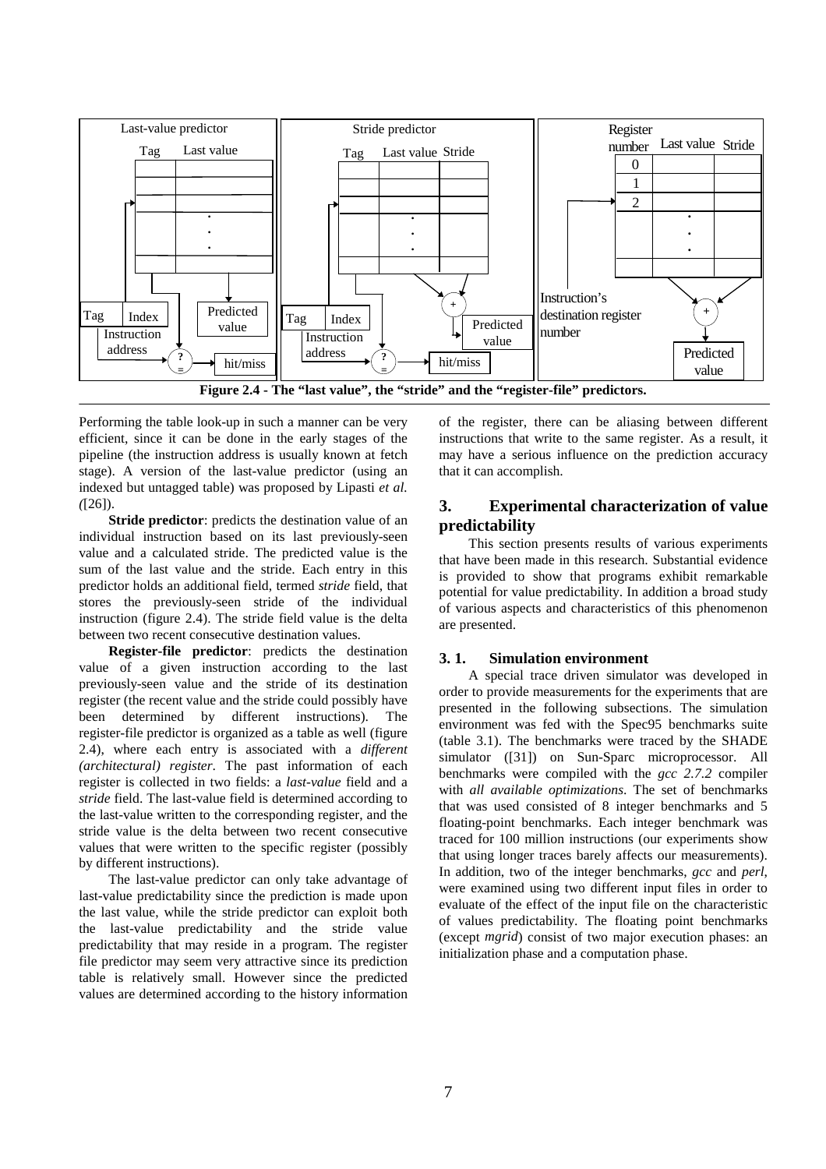

Performing the table look-up in such a manner can be very efficient, since it can be done in the early stages of the pipeline (the instruction address is usually known at fetch stage). A version of the last-value predictor (using an indexed but untagged table) was proposed by Lipasti *et al. (*[26]).

**Stride predictor**: predicts the destination value of an individual instruction based on its last previously-seen value and a calculated stride. The predicted value is the sum of the last value and the stride. Each entry in this predictor holds an additional field, termed *stride* field, that stores the previously-seen stride of the individual instruction (figure 2.4). The stride field value is the delta between two recent consecutive destination values.

**Register-file predictor**: predicts the destination value of a given instruction according to the last previously-seen value and the stride of its destination register (the recent value and the stride could possibly have been determined by different instructions). The register-file predictor is organized as a table as well (figure 2.4), where each entry is associated with a *different (architectural) register*. The past information of each register is collected in two fields: a *last-value* field and a *stride* field. The last-value field is determined according to the last-value written to the corresponding register, and the stride value is the delta between two recent consecutive values that were written to the specific register (possibly by different instructions).

The last-value predictor can only take advantage of last-value predictability since the prediction is made upon the last value, while the stride predictor can exploit both the last-value predictability and the stride value predictability that may reside in a program. The register file predictor may seem very attractive since its prediction table is relatively small. However since the predicted values are determined according to the history information

of the register, there can be aliasing between different instructions that write to the same register. As a result, it may have a serious influence on the prediction accuracy that it can accomplish.

# **3. Experimental characterization of value predictability**

This section presents results of various experiments that have been made in this research. Substantial evidence is provided to show that programs exhibit remarkable potential for value predictability. In addition a broad study of various aspects and characteristics of this phenomenon are presented.

### **3. 1. Simulation environment**

A special trace driven simulator was developed in order to provide measurements for the experiments that are presented in the following subsections. The simulation environment was fed with the Spec95 benchmarks suite (table 3.1). The benchmarks were traced by the SHADE simulator ([31]) on Sun-Sparc microprocessor. All benchmarks were compiled with the *gcc 2.7.2* compiler with *all available optimizations*. The set of benchmarks that was used consisted of 8 integer benchmarks and 5 floating-point benchmarks. Each integer benchmark was traced for 100 million instructions (our experiments show that using longer traces barely affects our measurements). In addition, two of the integer benchmarks, *gcc* and *perl*, were examined using two different input files in order to evaluate of the effect of the input file on the characteristic of values predictability. The floating point benchmarks (except *mgrid*) consist of two major execution phases: an initialization phase and a computation phase.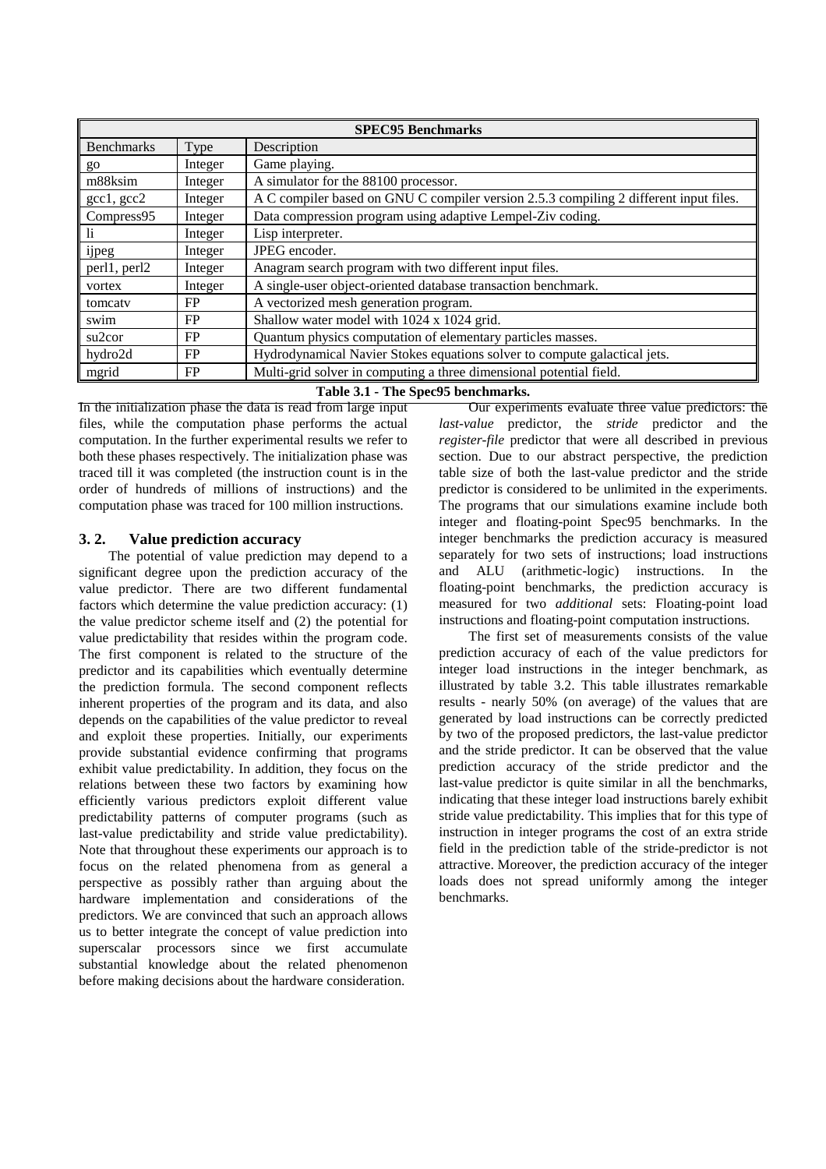| <b>SPEC95 Benchmarks</b> |           |                                                                                       |  |  |
|--------------------------|-----------|---------------------------------------------------------------------------------------|--|--|
| <b>Benchmarks</b>        | Type      | Description                                                                           |  |  |
| go                       | Integer   | Game playing.                                                                         |  |  |
| m88ksim                  | Integer   | A simulator for the 88100 processor.                                                  |  |  |
| $\gcd$ , $\gcd$          | Integer   | A C compiler based on GNU C compiler version 2.5.3 compiling 2 different input files. |  |  |
| Compress95               | Integer   | Data compression program using adaptive Lempel-Ziv coding.                            |  |  |
| li                       | Integer   | Lisp interpreter.                                                                     |  |  |
| ijpeg                    | Integer   | JPEG encoder.                                                                         |  |  |
| perl1, perl2             | Integer   | Anagram search program with two different input files.                                |  |  |
| vortex                   | Integer   | A single-user object-oriented database transaction benchmark.                         |  |  |
| tomcaty                  | FP        | A vectorized mesh generation program.                                                 |  |  |
| swim                     | FP        | Shallow water model with 1024 x 1024 grid.                                            |  |  |
| su <sub>2</sub> cor      | <b>FP</b> | Quantum physics computation of elementary particles masses.                           |  |  |
| hydro2d                  | FP        | Hydrodynamical Navier Stokes equations solver to compute galactical jets.             |  |  |
| mgrid                    | FP        | Multi-grid solver in computing a three dimensional potential field.                   |  |  |

**Table 3.1 - The Spec95 benchmarks.**

In the initialization phase the data is read from large input files, while the computation phase performs the actual computation. In the further experimental results we refer to both these phases respectively. The initialization phase was traced till it was completed (the instruction count is in the order of hundreds of millions of instructions) and the computation phase was traced for 100 million instructions.

# **3. 2. Value prediction accuracy**

The potential of value prediction may depend to a significant degree upon the prediction accuracy of the value predictor. There are two different fundamental factors which determine the value prediction accuracy: (1) the value predictor scheme itself and (2) the potential for value predictability that resides within the program code. The first component is related to the structure of the predictor and its capabilities which eventually determine the prediction formula. The second component reflects inherent properties of the program and its data, and also depends on the capabilities of the value predictor to reveal and exploit these properties. Initially, our experiments provide substantial evidence confirming that programs exhibit value predictability. In addition, they focus on the relations between these two factors by examining how efficiently various predictors exploit different value predictability patterns of computer programs (such as last-value predictability and stride value predictability). Note that throughout these experiments our approach is to focus on the related phenomena from as general a perspective as possibly rather than arguing about the hardware implementation and considerations of the predictors. We are convinced that such an approach allows us to better integrate the concept of value prediction into superscalar processors since we first accumulate substantial knowledge about the related phenomenon before making decisions about the hardware consideration.

Our experiments evaluate three value predictors: the *last-value* predictor, the *stride* predictor and the *register-file* predictor that were all described in previous section. Due to our abstract perspective, the prediction table size of both the last-value predictor and the stride predictor is considered to be unlimited in the experiments. The programs that our simulations examine include both integer and floating-point Spec95 benchmarks. In the integer benchmarks the prediction accuracy is measured separately for two sets of instructions; load instructions and ALU (arithmetic-logic) instructions. In the floating-point benchmarks, the prediction accuracy is measured for two *additional* sets: Floating-point load instructions and floating-point computation instructions.

The first set of measurements consists of the value prediction accuracy of each of the value predictors for integer load instructions in the integer benchmark, as illustrated by table 3.2. This table illustrates remarkable results - nearly 50% (on average) of the values that are generated by load instructions can be correctly predicted by two of the proposed predictors, the last-value predictor and the stride predictor. It can be observed that the value prediction accuracy of the stride predictor and the last-value predictor is quite similar in all the benchmarks, indicating that these integer load instructions barely exhibit stride value predictability. This implies that for this type of instruction in integer programs the cost of an extra stride field in the prediction table of the stride-predictor is not attractive. Moreover, the prediction accuracy of the integer loads does not spread uniformly among the integer benchmarks.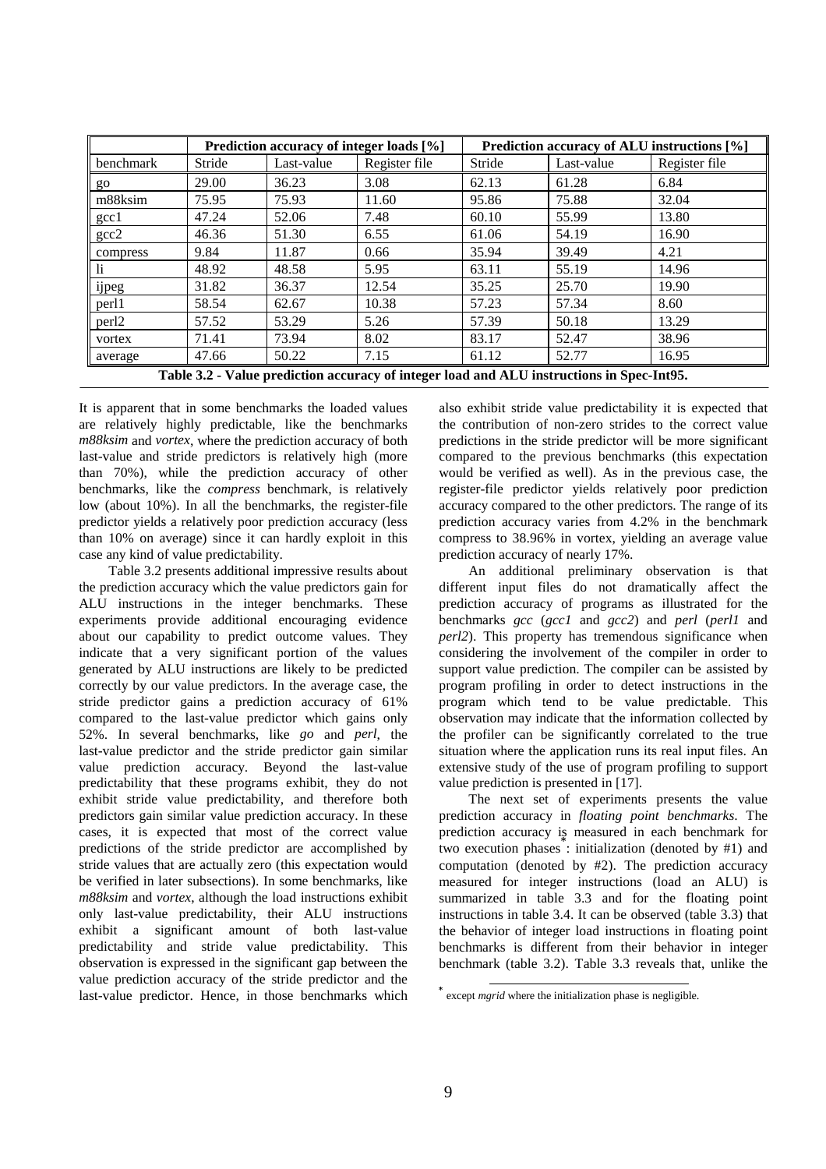|                                                                                           | Prediction accuracy of integer loads [%] |            |               | Prediction accuracy of ALU instructions [%] |            |               |
|-------------------------------------------------------------------------------------------|------------------------------------------|------------|---------------|---------------------------------------------|------------|---------------|
| benchmark                                                                                 | Stride                                   | Last-value | Register file | Stride                                      | Last-value | Register file |
| go                                                                                        | 29.00                                    | 36.23      | 3.08          | 62.13                                       | 61.28      | 6.84          |
| m88ksim                                                                                   | 75.95                                    | 75.93      | 11.60         | 95.86                                       | 75.88      | 32.04         |
| $\gcd$                                                                                    | 47.24                                    | 52.06      | 7.48          | 60.10                                       | 55.99      | 13.80         |
| $\sec 2$                                                                                  | 46.36                                    | 51.30      | 6.55          | 61.06                                       | 54.19      | 16.90         |
| compress                                                                                  | 9.84                                     | 11.87      | 0.66          | 35.94                                       | 39.49      | 4.21          |
| $\mathbf{h}$                                                                              | 48.92                                    | 48.58      | 5.95          | 63.11                                       | 55.19      | 14.96         |
| $\cdot$ .<br>ijpeg                                                                        | 31.82                                    | 36.37      | 12.54         | 35.25                                       | 25.70      | 19.90         |
| perl1                                                                                     | 58.54                                    | 62.67      | 10.38         | 57.23                                       | 57.34      | 8.60          |
| per <sub>12</sub>                                                                         | 57.52                                    | 53.29      | 5.26          | 57.39                                       | 50.18      | 13.29         |
| vortex                                                                                    | 71.41                                    | 73.94      | 8.02          | 83.17                                       | 52.47      | 38.96         |
| average                                                                                   | 47.66                                    | 50.22      | 7.15          | 61.12                                       | 52.77      | 16.95         |
| Table 3.2 - Value prediction accuracy of integer load and ALU instructions in Spec-Int95. |                                          |            |               |                                             |            |               |

It is apparent that in some benchmarks the loaded values are relatively highly predictable, like the benchmarks *m88ksim* and *vortex*, where the prediction accuracy of both last-value and stride predictors is relatively high (more than 70%), while the prediction accuracy of other benchmarks, like the *compress* benchmark, is relatively low (about 10%). In all the benchmarks, the register-file predictor yields a relatively poor prediction accuracy (less than 10% on average) since it can hardly exploit in this case any kind of value predictability.

Table 3.2 presents additional impressive results about the prediction accuracy which the value predictors gain for ALU instructions in the integer benchmarks. These experiments provide additional encouraging evidence about our capability to predict outcome values. They indicate that a very significant portion of the values generated by ALU instructions are likely to be predicted correctly by our value predictors. In the average case, the stride predictor gains a prediction accuracy of 61% compared to the last-value predictor which gains only 52%. In several benchmarks, like *go* and *perl*, the last-value predictor and the stride predictor gain similar value prediction accuracy. Beyond the last-value predictability that these programs exhibit, they do not exhibit stride value predictability, and therefore both predictors gain similar value prediction accuracy. In these cases, it is expected that most of the correct value predictions of the stride predictor are accomplished by stride values that are actually zero (this expectation would be verified in later subsections). In some benchmarks, like *m88ksim* and *vortex*, although the load instructions exhibit only last-value predictability, their ALU instructions exhibit a significant amount of both last-value predictability and stride value predictability. This observation is expressed in the significant gap between the value prediction accuracy of the stride predictor and the last-value predictor. Hence, in those benchmarks which

also exhibit stride value predictability it is expected that the contribution of non-zero strides to the correct value predictions in the stride predictor will be more significant compared to the previous benchmarks (this expectation would be verified as well). As in the previous case, the register-file predictor yields relatively poor prediction accuracy compared to the other predictors. The range of its prediction accuracy varies from 4.2% in the benchmark compress to 38.96% in vortex, yielding an average value prediction accuracy of nearly 17%.

An additional preliminary observation is that different input files do not dramatically affect the prediction accuracy of programs as illustrated for the benchmarks *gcc* (*gcc1* and *gcc2*) and *perl* (*perl1* and *perl2*). This property has tremendous significance when considering the involvement of the compiler in order to support value prediction. The compiler can be assisted by program profiling in order to detect instructions in the program which tend to be value predictable. This observation may indicate that the information collected by the profiler can be significantly correlated to the true situation where the application runs its real input files. An extensive study of the use of program profiling to support value prediction is presented in [17].

The next set of experiments presents the value prediction accuracy in *floating point benchmarks*. The prediction accuracy is measured in each benchmark for two execution phases : initialization (denoted by #1) and computation (denoted by #2). The prediction accuracy measured for integer instructions (load an ALU) is summarized in table 3.3 and for the floating point instructions in table 3.4. It can be observed (table 3.3) that the behavior of integer load instructions in floating point benchmarks is different from their behavior in integer benchmark (table 3.2). Table 3.3 reveals that, unlike the

 $\overline{a}$ 

except *mgrid* where the initialization phase is negligible.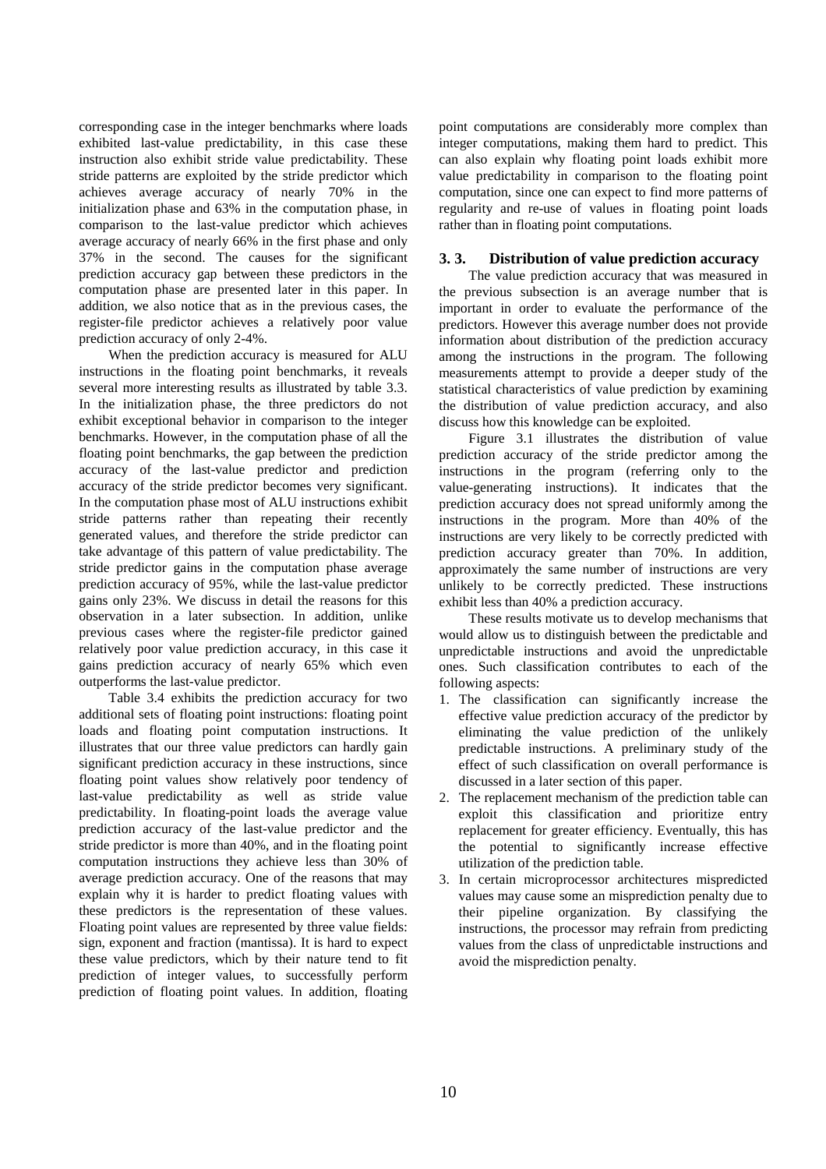corresponding case in the integer benchmarks where loads exhibited last-value predictability, in this case these instruction also exhibit stride value predictability. These stride patterns are exploited by the stride predictor which achieves average accuracy of nearly 70% in the initialization phase and 63% in the computation phase, in comparison to the last-value predictor which achieves average accuracy of nearly 66% in the first phase and only 37% in the second. The causes for the significant prediction accuracy gap between these predictors in the computation phase are presented later in this paper. In addition, we also notice that as in the previous cases, the register-file predictor achieves a relatively poor value prediction accuracy of only 2-4%.

When the prediction accuracy is measured for ALU instructions in the floating point benchmarks, it reveals several more interesting results as illustrated by table 3.3. In the initialization phase, the three predictors do not exhibit exceptional behavior in comparison to the integer benchmarks. However, in the computation phase of all the floating point benchmarks, the gap between the prediction accuracy of the last-value predictor and prediction accuracy of the stride predictor becomes very significant. In the computation phase most of ALU instructions exhibit stride patterns rather than repeating their recently generated values, and therefore the stride predictor can take advantage of this pattern of value predictability. The stride predictor gains in the computation phase average prediction accuracy of 95%, while the last-value predictor gains only 23%. We discuss in detail the reasons for this observation in a later subsection. In addition, unlike previous cases where the register-file predictor gained relatively poor value prediction accuracy, in this case it gains prediction accuracy of nearly 65% which even outperforms the last-value predictor.

Table 3.4 exhibits the prediction accuracy for two additional sets of floating point instructions: floating point loads and floating point computation instructions. It illustrates that our three value predictors can hardly gain significant prediction accuracy in these instructions, since floating point values show relatively poor tendency of last-value predictability as well as stride value predictability. In floating-point loads the average value prediction accuracy of the last-value predictor and the stride predictor is more than 40%, and in the floating point computation instructions they achieve less than 30% of average prediction accuracy. One of the reasons that may explain why it is harder to predict floating values with these predictors is the representation of these values. Floating point values are represented by three value fields: sign, exponent and fraction (mantissa). It is hard to expect these value predictors, which by their nature tend to fit prediction of integer values, to successfully perform prediction of floating point values. In addition, floating point computations are considerably more complex than integer computations, making them hard to predict. This can also explain why floating point loads exhibit more value predictability in comparison to the floating point computation, since one can expect to find more patterns of regularity and re-use of values in floating point loads rather than in floating point computations.

## **3. 3. Distribution of value prediction accuracy**

The value prediction accuracy that was measured in the previous subsection is an average number that is important in order to evaluate the performance of the predictors. However this average number does not provide information about distribution of the prediction accuracy among the instructions in the program. The following measurements attempt to provide a deeper study of the statistical characteristics of value prediction by examining the distribution of value prediction accuracy, and also discuss how this knowledge can be exploited.

Figure 3.1 illustrates the distribution of value prediction accuracy of the stride predictor among the instructions in the program (referring only to the value-generating instructions). It indicates that the prediction accuracy does not spread uniformly among the instructions in the program. More than 40% of the instructions are very likely to be correctly predicted with prediction accuracy greater than 70%. In addition, approximately the same number of instructions are very unlikely to be correctly predicted. These instructions exhibit less than 40% a prediction accuracy.

These results motivate us to develop mechanisms that would allow us to distinguish between the predictable and unpredictable instructions and avoid the unpredictable ones. Such classification contributes to each of the following aspects:

- 1. The classification can significantly increase the effective value prediction accuracy of the predictor by eliminating the value prediction of the unlikely predictable instructions. A preliminary study of the effect of such classification on overall performance is discussed in a later section of this paper.
- 2. The replacement mechanism of the prediction table can exploit this classification and prioritize entry replacement for greater efficiency. Eventually, this has the potential to significantly increase effective utilization of the prediction table.
- 3. In certain microprocessor architectures mispredicted values may cause some an misprediction penalty due to their pipeline organization. By classifying the instructions, the processor may refrain from predicting values from the class of unpredictable instructions and avoid the misprediction penalty.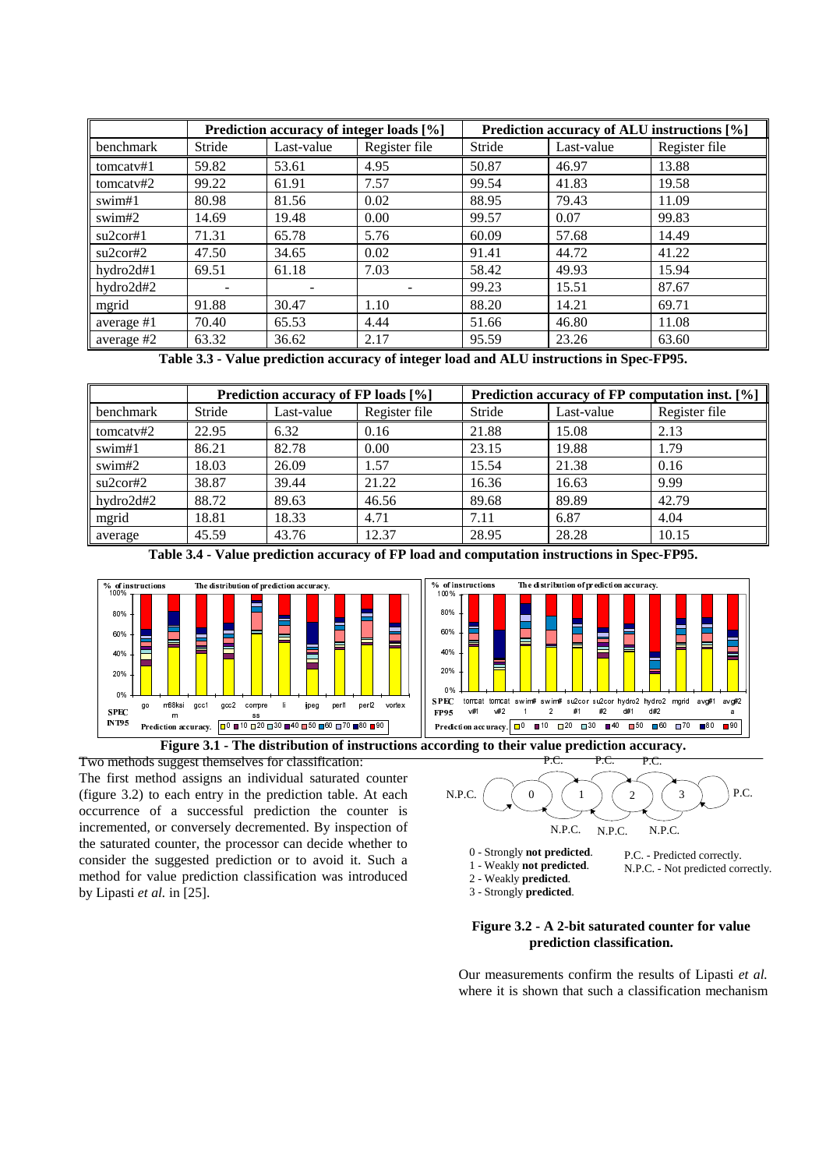|            | Prediction accuracy of integer loads [%] |            |               | Prediction accuracy of ALU instructions [%] |            |               |
|------------|------------------------------------------|------------|---------------|---------------------------------------------|------------|---------------|
| benchmark  | Stride                                   | Last-value | Register file | Stride                                      | Last-value | Register file |
| tomcatv#1  | 59.82                                    | 53.61      | 4.95          | 50.87                                       | 46.97      | 13.88         |
| tomcatv#2  | 99.22                                    | 61.91      | 7.57          | 99.54                                       | 41.83      | 19.58         |
| swim#1     | 80.98                                    | 81.56      | 0.02          | 88.95                                       | 79.43      | 11.09         |
| swim#2     | 14.69                                    | 19.48      | 0.00          | 99.57                                       | 0.07       | 99.83         |
| su2cor#1   | 71.31                                    | 65.78      | 5.76          | 60.09                                       | 57.68      | 14.49         |
| su2cor#2   | 47.50                                    | 34.65      | 0.02          | 91.41                                       | 44.72      | 41.22         |
| hydro2d#1  | 69.51                                    | 61.18      | 7.03          | 58.42                                       | 49.93      | 15.94         |
| hydro2d#2  |                                          |            |               | 99.23                                       | 15.51      | 87.67         |
| mgrid      | 91.88                                    | 30.47      | 1.10          | 88.20                                       | 14.21      | 69.71         |
| average #1 | 70.40                                    | 65.53      | 4.44          | 51.66                                       | 46.80      | 11.08         |
| average #2 | 63.32                                    | 36.62      | 2.17          | 95.59                                       | 23.26      | 63.60         |

**Table 3.3 - Value prediction accuracy of integer load and ALU instructions in Spec-FP95.**

|           | Prediction accuracy of FP loads [%] |            |               | Prediction accuracy of FP computation inst. [%] |            |               |
|-----------|-------------------------------------|------------|---------------|-------------------------------------------------|------------|---------------|
| benchmark | Stride                              | Last-value | Register file | Stride                                          | Last-value | Register file |
| tomcatv#2 | 22.95                               | 6.32       | 0.16          | 21.88                                           | 15.08      | 2.13          |
| swim#1    | 86.21                               | 82.78      | 0.00          | 23.15                                           | 19.88      | 1.79          |
| swim#2    | 18.03                               | 26.09      | 1.57          | 15.54                                           | 21.38      | 0.16          |
| su2cor#2  | 38.87                               | 39.44      | 21.22         | 16.36                                           | 16.63      | 9.99          |
| hydro2d#2 | 88.72                               | 89.63      | 46.56         | 89.68                                           | 89.89      | 42.79         |
| mgrid     | 18.81                               | 18.33      | 4.71          | 7.11                                            | 6.87       | 4.04          |
| average   | 45.59                               | 43.76      | 12.37         | 28.95                                           | 28.28      | 10.15         |

**Table 3.4 - Value prediction accuracy of FP load and computation instructions in Spec-FP95.**



**Figure 3.1 - The distribution of instructions according to their value prediction accuracy.**

Two methods suggest themselves for classification: The first method assigns an individual saturated counter (figure 3.2) to each entry in the prediction table. At each occurrence of a successful prediction the counter is incremented, or conversely decremented. By inspection of the saturated counter, the processor can decide whether to consider the suggested prediction or to avoid it. Such a method for value prediction classification was introduced by Lipasti *et al.* in [25].



- 0 Strongly **not predicted**.
- 1 Weakly **not predicted**. P.C. - Predicted correctly. N.P.C. - Not predicted correctly.
- 2 Weakly **predicted**.
- 3 Strongly **predicted**.

### **Figure 3.2 - A 2-bit saturated counter for value prediction classification.**

Our measurements confirm the results of Lipasti *et al.* where it is shown that such a classification mechanism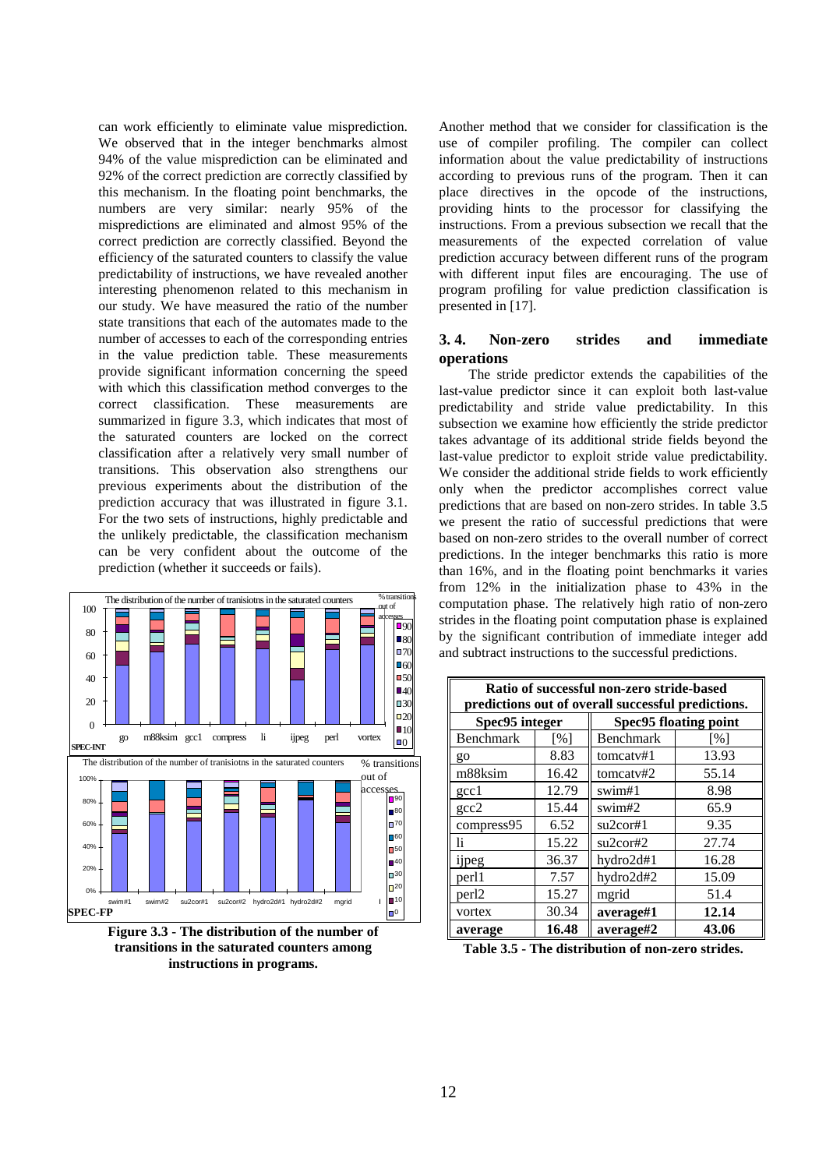can work efficiently to eliminate value misprediction. We observed that in the integer benchmarks almost 94% of the value misprediction can be eliminated and 92% of the correct prediction are correctly classified by this mechanism. In the floating point benchmarks, the numbers are very similar: nearly 95% of the mispredictions are eliminated and almost 95% of the correct prediction are correctly classified. Beyond the efficiency of the saturated counters to classify the value predictability of instructions, we have revealed another interesting phenomenon related to this mechanism in our study. We have measured the ratio of the number state transitions that each of the automates made to the number of accesses to each of the corresponding entries in the value prediction table. These measurements provide significant information concerning the speed with which this classification method converges to the correct classification. These measurements are summarized in figure 3.3, which indicates that most of the saturated counters are locked on the correct classification after a relatively very small number of transitions. This observation also strengthens our previous experiments about the distribution of the prediction accuracy that was illustrated in figure 3.1. For the two sets of instructions, highly predictable and the unlikely predictable, the classification mechanism can be very confident about the outcome of the prediction (whether it succeeds or fails).



**Figure 3.3 - The distribution of the number of transitions in the saturated counters among instructions in programs.**

Another method that we consider for classification is the use of compiler profiling. The compiler can collect information about the value predictability of instructions according to previous runs of the program. Then it can place directives in the opcode of the instructions, providing hints to the processor for classifying the instructions. From a previous subsection we recall that the measurements of the expected correlation of value prediction accuracy between different runs of the program with different input files are encouraging. The use of program profiling for value prediction classification is presented in [17].

# **3. 4. Non-zero strides and immediate operations**

The stride predictor extends the capabilities of the last-value predictor since it can exploit both last-value predictability and stride value predictability. In this subsection we examine how efficiently the stride predictor takes advantage of its additional stride fields beyond the last-value predictor to exploit stride value predictability. We consider the additional stride fields to work efficiently only when the predictor accomplishes correct value predictions that are based on non-zero strides. In table 3.5 we present the ratio of successful predictions that were based on non-zero strides to the overall number of correct predictions. In the integer benchmarks this ratio is more than 16%, and in the floating point benchmarks it varies from 12% in the initialization phase to 43% in the computation phase. The relatively high ratio of non-zero strides in the floating point computation phase is explained by the significant contribution of immediate integer add and subtract instructions to the successful predictions.

| Ratio of successful non-zero stride-based<br>predictions out of overall successful predictions. |       |                              |       |  |  |
|-------------------------------------------------------------------------------------------------|-------|------------------------------|-------|--|--|
| Spec95 integer                                                                                  |       | <b>Spec95 floating point</b> |       |  |  |
| Benchmark                                                                                       | [%]   | <b>Benchmark</b>             | [%]   |  |  |
| go                                                                                              | 8.83  | tomcatv#1                    | 13.93 |  |  |
| m88ksim                                                                                         | 16.42 | tomcatv#2                    | 55.14 |  |  |
| $\gcd$                                                                                          | 12.79 | swim#1                       | 8.98  |  |  |
| $_{\rm gcc2}$                                                                                   | 15.44 | swim#2                       | 65.9  |  |  |
| compress95                                                                                      | 6.52  | su2cor#1                     | 9.35  |  |  |
| li.                                                                                             | 15.22 | su2cor#2                     | 27.74 |  |  |
| ijpeg                                                                                           | 36.37 | hydro2d#1                    | 16.28 |  |  |
| perl1                                                                                           | 7.57  | hydro2d#2                    | 15.09 |  |  |
| per <sub>12</sub>                                                                               | 15.27 | mgrid                        | 51.4  |  |  |
| vortex                                                                                          | 30.34 | average#1                    | 12.14 |  |  |
| average                                                                                         | 16.48 | average#2                    | 43.06 |  |  |

**Table 3.5 - The distribution of non-zero strides.**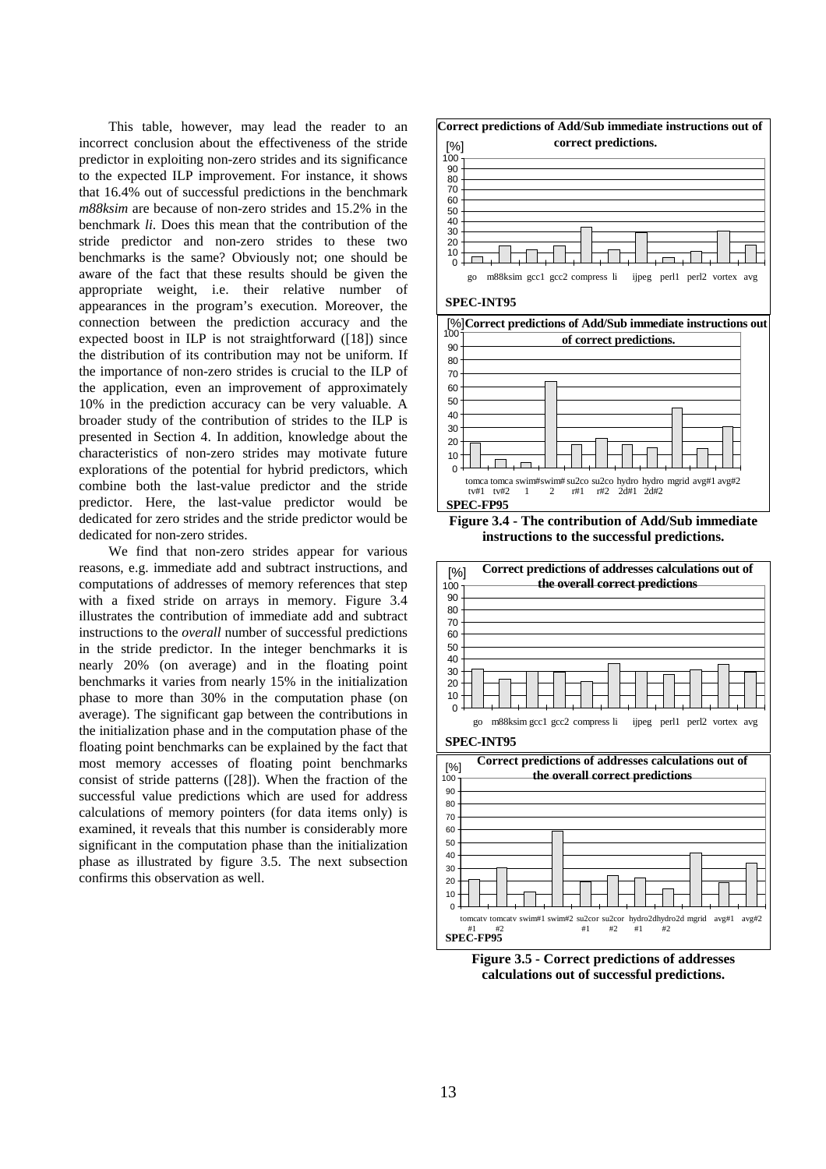This table, however, may lead the reader to an incorrect conclusion about the effectiveness of the stride predictor in exploiting non-zero strides and its significance to the expected ILP improvement. For instance, it shows that 16.4% out of successful predictions in the benchmark *m88ksim* are because of non-zero strides and 15.2% in the benchmark *li*. Does this mean that the contribution of the stride predictor and non-zero strides to these two benchmarks is the same? Obviously not; one should be aware of the fact that these results should be given the appropriate weight, i.e. their relative number of appearances in the program's execution. Moreover, the connection between the prediction accuracy and the expected boost in ILP is not straightforward ([18]) since the distribution of its contribution may not be uniform. If the importance of non-zero strides is crucial to the ILP of the application, even an improvement of approximately 10% in the prediction accuracy can be very valuable. A broader study of the contribution of strides to the ILP is presented in Section 4. In addition, knowledge about the characteristics of non-zero strides may motivate future explorations of the potential for hybrid predictors, which combine both the last-value predictor and the stride predictor. Here, the last-value predictor would be dedicated for zero strides and the stride predictor would be dedicated for non-zero strides.

We find that non-zero strides appear for various reasons, e.g. immediate add and subtract instructions, and computations of addresses of memory references that step with a fixed stride on arrays in memory. Figure 3.4 illustrates the contribution of immediate add and subtract instructions to the *overall* number of successful predictions in the stride predictor. In the integer benchmarks it is nearly 20% (on average) and in the floating point benchmarks it varies from nearly 15% in the initialization phase to more than 30% in the computation phase (on average). The significant gap between the contributions in the initialization phase and in the computation phase of the floating point benchmarks can be explained by the fact that most memory accesses of floating point benchmarks consist of stride patterns ([28]). When the fraction of the successful value predictions which are used for address calculations of memory pointers (for data items only) is examined, it reveals that this number is considerably more significant in the computation phase than the initialization phase as illustrated by figure 3.5. The next subsection confirms this observation as well.



**Figure 3.4 - The contribution of Add/Sub immediate instructions to the successful predictions.**



**Figure 3.5 - Correct predictions of addresses calculations out of successful predictions.**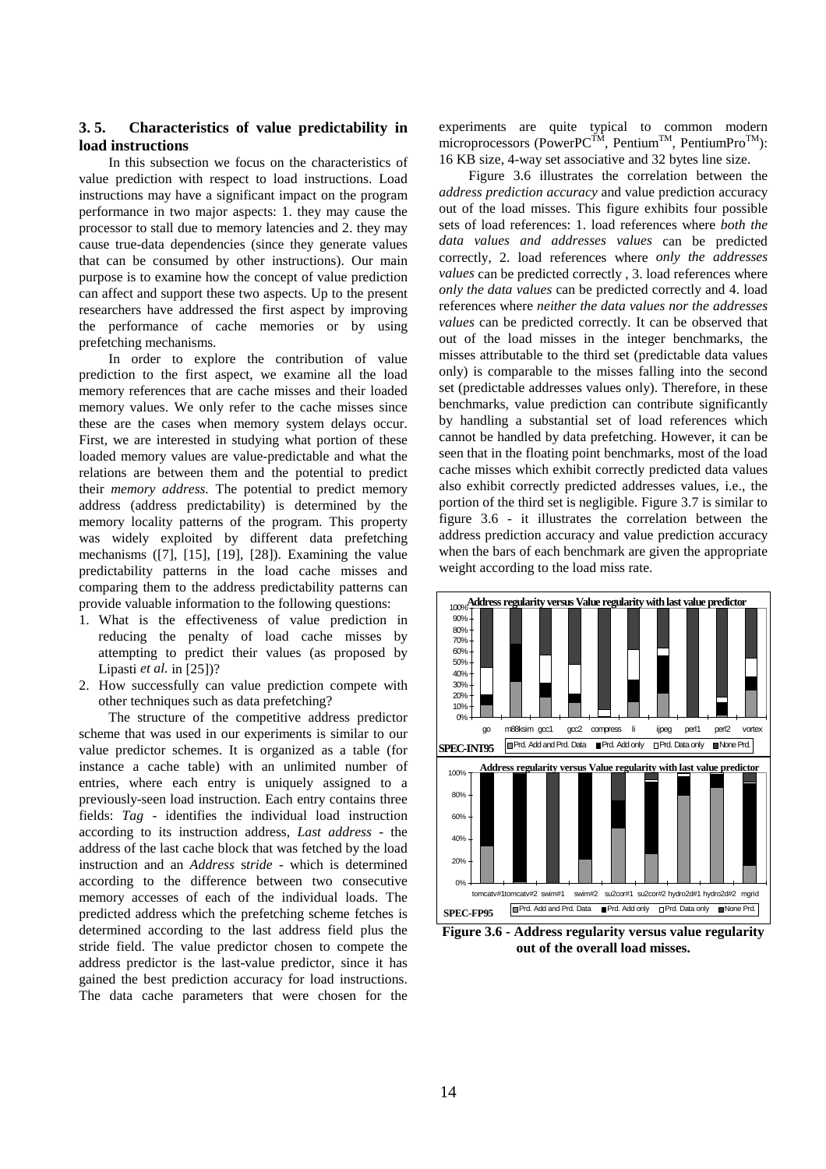## **3. 5. Characteristics of value predictability in load instructions**

In this subsection we focus on the characteristics of value prediction with respect to load instructions. Load instructions may have a significant impact on the program performance in two major aspects: 1. they may cause the processor to stall due to memory latencies and 2. they may cause true-data dependencies (since they generate values that can be consumed by other instructions). Our main purpose is to examine how the concept of value prediction can affect and support these two aspects. Up to the present researchers have addressed the first aspect by improving the performance of cache memories or by using prefetching mechanisms.

In order to explore the contribution of value prediction to the first aspect, we examine all the load memory references that are cache misses and their loaded memory values. We only refer to the cache misses since these are the cases when memory system delays occur. First, we are interested in studying what portion of these loaded memory values are value-predictable and what the relations are between them and the potential to predict their *memory address.* The potential to predict memory address (address predictability) is determined by the memory locality patterns of the program. This property was widely exploited by different data prefetching mechanisms ([7], [15], [19], [28]). Examining the value predictability patterns in the load cache misses and comparing them to the address predictability patterns can provide valuable information to the following questions:

- 1. What is the effectiveness of value prediction in reducing the penalty of load cache misses by attempting to predict their values (as proposed by Lipasti *et al.* in [25])?
- 2. How successfully can value prediction compete with other techniques such as data prefetching?

The structure of the competitive address predictor scheme that was used in our experiments is similar to our value predictor schemes. It is organized as a table (for instance a cache table) with an unlimited number of entries, where each entry is uniquely assigned to a previously-seen load instruction. Each entry contains three fields: *Tag* - identifies the individual load instruction according to its instruction address, *Last address* - the address of the last cache block that was fetched by the load instruction and an *Address* s*tride* - which is determined according to the difference between two consecutive memory accesses of each of the individual loads. The predicted address which the prefetching scheme fetches is determined according to the last address field plus the stride field. The value predictor chosen to compete the address predictor is the last-value predictor, since it has gained the best prediction accuracy for load instructions. The data cache parameters that were chosen for the

experiments are quite typical to common modern microprocessors (PowerPC<sup>TM</sup>, Pentium<sup>TM</sup>, PentiumPro<sup>TM</sup>): 16 KB size, 4-way set associative and 32 bytes line size.

Figure 3.6 illustrates the correlation between the *address prediction accuracy* and value prediction accuracy out of the load misses. This figure exhibits four possible sets of load references: 1. load references where *both the data values and addresses values* can be predicted correctly, 2. load references where *only the addresses values* can be predicted correctly , 3. load references where *only the data values* can be predicted correctly and 4. load references where *neither the data values nor the addresses values* can be predicted correctly. It can be observed that out of the load misses in the integer benchmarks, the misses attributable to the third set (predictable data values only) is comparable to the misses falling into the second set (predictable addresses values only). Therefore, in these benchmarks, value prediction can contribute significantly by handling a substantial set of load references which cannot be handled by data prefetching. However, it can be seen that in the floating point benchmarks, most of the load cache misses which exhibit correctly predicted data values also exhibit correctly predicted addresses values, i.e., the portion of the third set is negligible. Figure 3.7 is similar to figure 3.6 - it illustrates the correlation between the address prediction accuracy and value prediction accuracy when the bars of each benchmark are given the appropriate weight according to the load miss rate.



**Figure 3.6 - Address regularity versus value regularity out of the overall load misses.**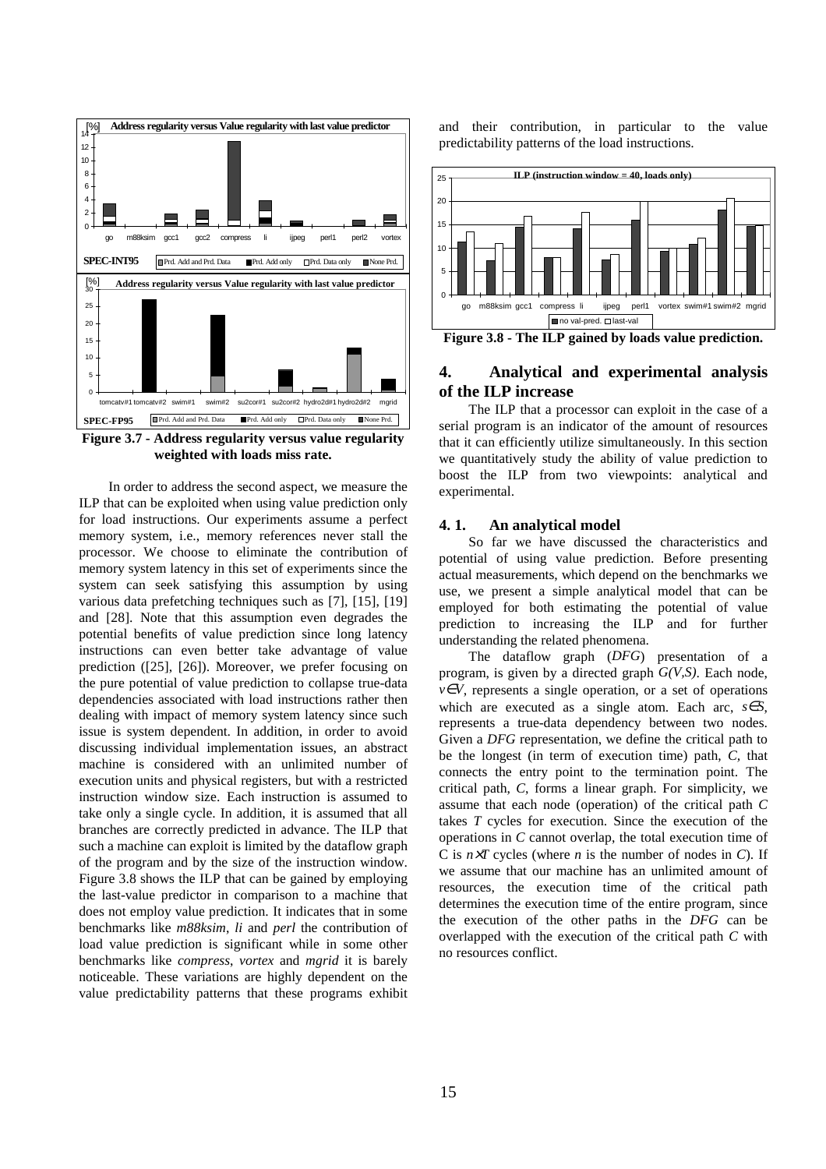

**Figure 3.7 - Address regularity versus value regularity weighted with loads miss rate.**

In order to address the second aspect, we measure the ILP that can be exploited when using value prediction only for load instructions. Our experiments assume a perfect memory system, i.e., memory references never stall the processor. We choose to eliminate the contribution of memory system latency in this set of experiments since the system can seek satisfying this assumption by using various data prefetching techniques such as [7], [15], [19] and [28]. Note that this assumption even degrades the potential benefits of value prediction since long latency instructions can even better take advantage of value prediction ([25], [26]). Moreover, we prefer focusing on the pure potential of value prediction to collapse true-data dependencies associated with load instructions rather then dealing with impact of memory system latency since such issue is system dependent. In addition, in order to avoid discussing individual implementation issues, an abstract machine is considered with an unlimited number of execution units and physical registers, but with a restricted instruction window size. Each instruction is assumed to take only a single cycle. In addition, it is assumed that all branches are correctly predicted in advance. The ILP that such a machine can exploit is limited by the dataflow graph of the program and by the size of the instruction window. Figure 3.8 shows the ILP that can be gained by employing the last-value predictor in comparison to a machine that does not employ value prediction. It indicates that in some benchmarks like *m88ksim*, *li* and *perl* the contribution of load value prediction is significant while in some other benchmarks like *compress*, *vortex* and *mgrid* it is barely noticeable. These variations are highly dependent on the value predictability patterns that these programs exhibit

and their contribution, in particular to the value predictability patterns of the load instructions.



**Figure 3.8 - The ILP gained by loads value prediction.**

# **4. Analytical and experimental analysis of the ILP increase**

The ILP that a processor can exploit in the case of a serial program is an indicator of the amount of resources that it can efficiently utilize simultaneously. In this section we quantitatively study the ability of value prediction to boost the ILP from two viewpoints: analytical and experimental.

#### **4. 1. An analytical model**

So far we have discussed the characteristics and potential of using value prediction. Before presenting actual measurements, which depend on the benchmarks we use, we present a simple analytical model that can be employed for both estimating the potential of value prediction to increasing the ILP and for further understanding the related phenomena.

The dataflow graph (*DFG*) presentation of a program, is given by a directed graph *G(V,S)*. Each node,  $v \in V$ , represents a single operation, or a set of operations which are executed as a single atom. Each arc, *s*∈*S*, represents a true-data dependency between two nodes. Given a *DFG* representation, we define the critical path to be the longest (in term of execution time) path, *C,* that connects the entry point to the termination point. The critical path, *C*, forms a linear graph. For simplicity, we assume that each node (operation) of the critical path *C* takes *T* cycles for execution. Since the execution of the operations in *C* cannot overlap, the total execution time of C is *n*×*T* cycles (where *n* is the number of nodes in *C*). If we assume that our machine has an unlimited amount of resources, the execution time of the critical path determines the execution time of the entire program, since the execution of the other paths in the *DFG* can be overlapped with the execution of the critical path *C* with no resources conflict.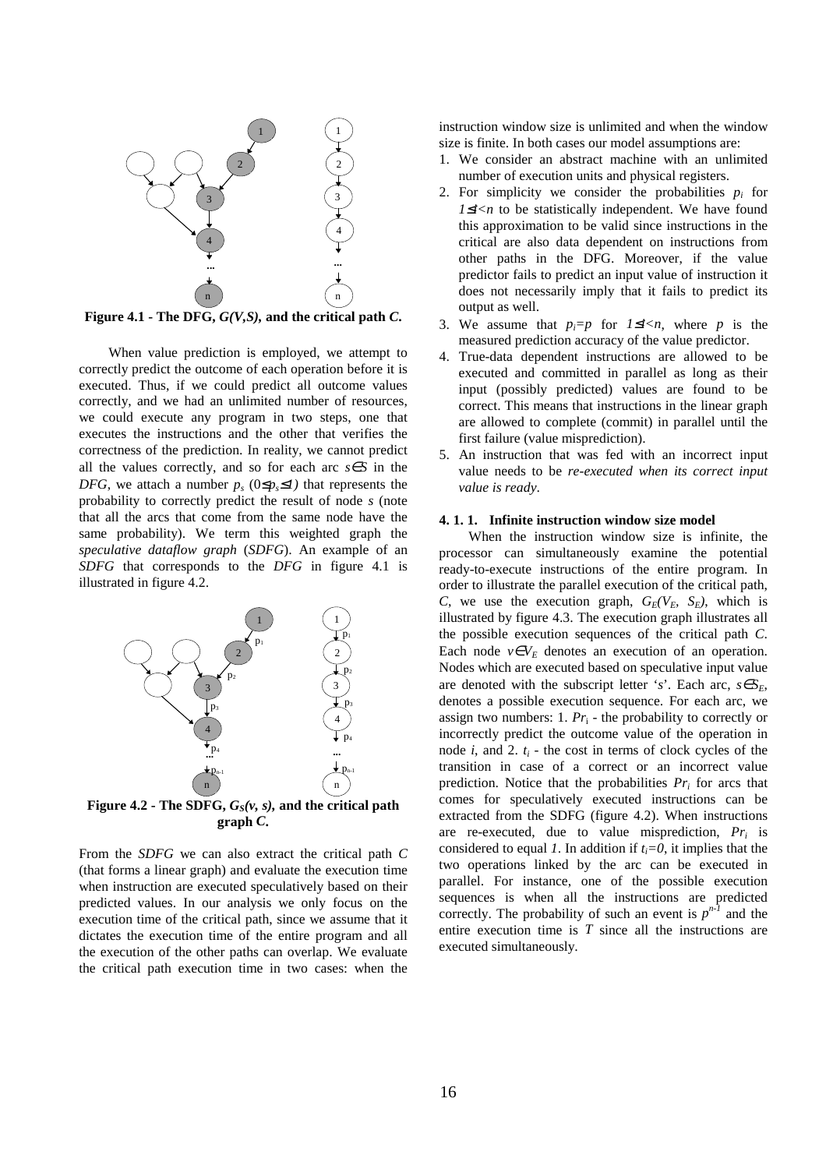

When value prediction is employed, we attempt to correctly predict the outcome of each operation before it is executed. Thus, if we could predict all outcome values correctly, and we had an unlimited number of resources, we could execute any program in two steps, one that executes the instructions and the other that verifies the correctness of the prediction. In reality, we cannot predict all the values correctly, and so for each arc *s*∈*S* in the *DFG*, we attach a number  $p_s$  (0≤ $p_s$ ≤*1*) that represents the probability to correctly predict the result of node *s* (note that all the arcs that come from the same node have the same probability). We term this weighted graph the *speculative dataflow graph* (*SDFG*). An example of an *SDFG* that corresponds to the *DFG* in figure 4.1 is illustrated in figure 4.2.



**Figure 4.2 -** The SDFG,  $G_S(v, s)$ , and the critical path **graph** *C***.**

From the *SDFG* we can also extract the critical path *C* (that forms a linear graph) and evaluate the execution time when instruction are executed speculatively based on their predicted values. In our analysis we only focus on the execution time of the critical path, since we assume that it dictates the execution time of the entire program and all the execution of the other paths can overlap. We evaluate the critical path execution time in two cases: when the

instruction window size is unlimited and when the window size is finite. In both cases our model assumptions are:

- 1. We consider an abstract machine with an unlimited number of execution units and physical registers.
- 2. For simplicity we consider the probabilities  $p_i$  for *1≤i<n* to be statistically independent. We have found this approximation to be valid since instructions in the critical are also data dependent on instructions from other paths in the DFG. Moreover, if the value predictor fails to predict an input value of instruction it does not necessarily imply that it fails to predict its output as well.
- 3. We assume that  $p_i = p$  for  $1 \le i < n$ , where p is the measured prediction accuracy of the value predictor.
- 4. True-data dependent instructions are allowed to be executed and committed in parallel as long as their input (possibly predicted) values are found to be correct. This means that instructions in the linear graph are allowed to complete (commit) in parallel until the first failure (value misprediction).
- 5. An instruction that was fed with an incorrect input value needs to be *re-executed when its correct input value is ready*.

### **4. 1. 1. Infinite instruction window size model**

When the instruction window size is infinite, the processor can simultaneously examine the potential ready-to-execute instructions of the entire program. In order to illustrate the parallel execution of the critical path, *C*, we use the execution graph,  $G_E(V_E, S_E)$ , which is illustrated by figure 4.3. The execution graph illustrates all the possible execution sequences of the critical path *C*. Each node  $v \in V_E$  denotes an execution of an operation. Nodes which are executed based on speculative input value are denoted with the subscript letter '*s*'. Each arc,  $s \in S_E$ , denotes a possible execution sequence. For each arc, we assign two numbers: 1.  $Pr_i$  - the probability to correctly or incorrectly predict the outcome value of the operation in node  $i$ , and  $2$ .  $t_i$  - the cost in terms of clock cycles of the transition in case of a correct or an incorrect value prediction. Notice that the probabilities *Pr<sup>i</sup>* for arcs that comes for speculatively executed instructions can be extracted from the SDFG (figure 4.2). When instructions are re-executed, due to value misprediction, *Pr<sup>i</sup>* is considered to equal *1*. In addition if  $t_i = 0$ , it implies that the two operations linked by the arc can be executed in parallel. For instance, one of the possible execution sequences is when all the instructions are predicted correctly. The probability of such an event is  $p^{n-1}$  and the entire execution time is *T* since all the instructions are executed simultaneously.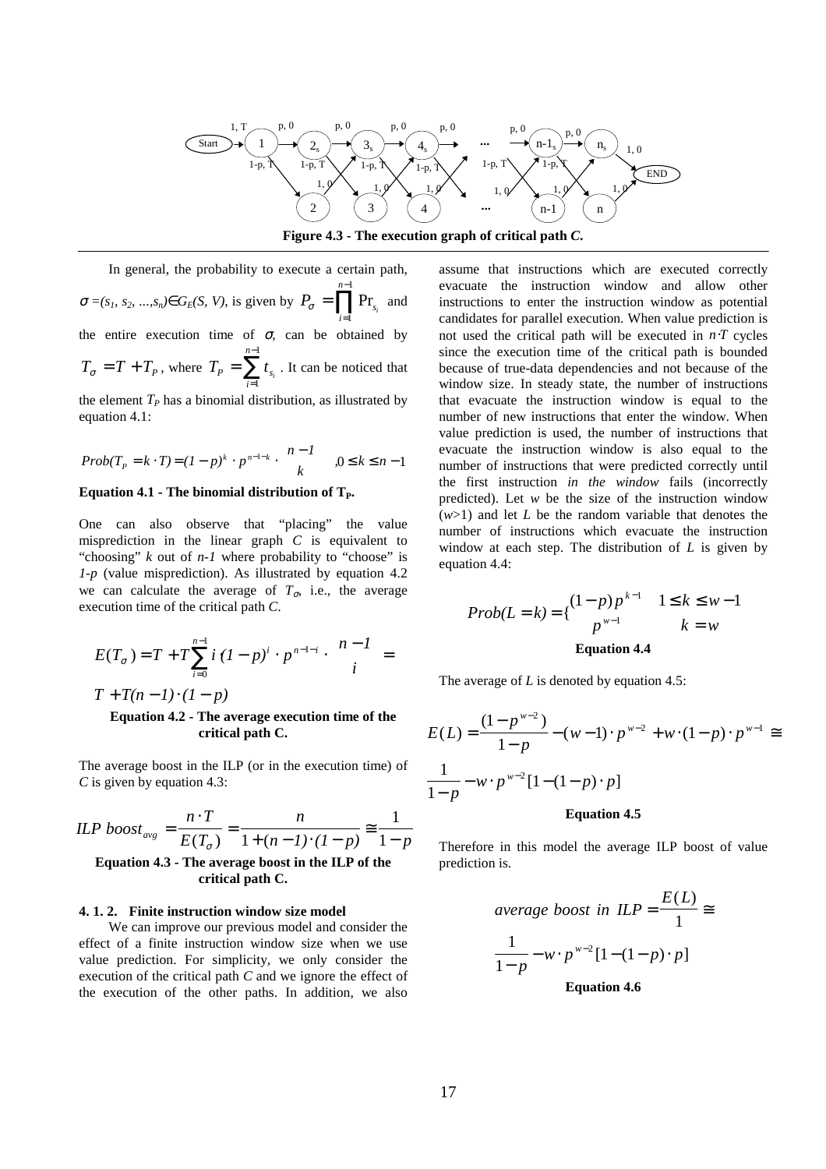

**Figure 4.3 - The execution graph of critical path** *C***.**

In general, the probability to execute a certain path,  $\sigma = (s_1, s_2, ..., s_n) \in G_E(S, V)$ , is given by  $P_{\sigma} = \prod_{s} \Pr_s$ *i n*  $P_{\sigma} = \prod Pr_{s_i}$ =  $\prod^{n-1}$  Pr 1 and the entire execution time of  $\sigma$ , can be obtained by  $T_{\sigma} = T + T_{P}$ , where  $T_{P} = \sum t_{s}$ *i n*  $=\sum t_{s_i}$ =  $\sum_{i=1}^{n-1}$ 1 . It can be noticed that

the element  $T_P$  has a binomial distribution, as illustrated by equation 4.1:

$$
Prob(T_p = k \cdot T) = (1 - p)^k \cdot p^{n - 1 - k} \cdot \binom{n - 1}{k}, 0 \le k \le n - 1
$$

### **Equation 4.1 - The binomial distribution of TP.**

One can also observe that "placing" the value misprediction in the linear graph *C* is equivalent to "choosing" *k* out of *n-1* where probability to "choose" is *1-p* (value misprediction). As illustrated by equation 4.2 we can calculate the average of  $T_{\sigma}$ , i.e., the average execution time of the critical path *C*.

$$
E(T_{\sigma}) = T + T \sum_{i=0}^{n-1} i (1-p)^{i} \cdot p^{n-1-i} \cdot \binom{n-1}{i} =
$$

 $T + T(n-1) \cdot (1-p)$ 

### **Equation 4.2 - The average execution time of the critical path C.**

The average boost in the ILP (or in the execution time) of *C* is given by equation 4.3:

$$
ILP\;boost_{avg} = \frac{n \cdot T}{E(T_{\sigma})} = \frac{n}{1 + (n - 1) \cdot (1 - p)} \approx \frac{1}{1 - p}
$$

## **Equation 4.3 - The average boost in the ILP of the critical path C.**

#### **4. 1. 2. Finite instruction window size model**

We can improve our previous model and consider the effect of a finite instruction window size when we use value prediction. For simplicity, we only consider the execution of the critical path *C* and we ignore the effect of the execution of the other paths. In addition, we also

assume that instructions which are executed correctly evacuate the instruction window and allow other instructions to enter the instruction window as potential candidates for parallel execution. When value prediction is not used the critical path will be executed in *n*⋅*T* cycles since the execution time of the critical path is bounded because of true-data dependencies and not because of the window size. In steady state, the number of instructions that evacuate the instruction window is equal to the number of new instructions that enter the window. When value prediction is used, the number of instructions that evacuate the instruction window is also equal to the number of instructions that were predicted correctly until the first instruction *in the window* fails (incorrectly predicted). Let *w* be the size of the instruction window (*w*>1) and let *L* be the random variable that denotes the number of instructions which evacuate the instruction window at each step. The distribution of *L* is given by equation 4.4:

$$
Prob(L = k) = \left\{ \begin{aligned} (1-p)p^{k-1} & 1 \le k \le w-1 \\ p^{w-1} & k = w \end{aligned} \right.
$$
  
Equation 4.4

The average of *L* is denoted by equation 4.5:

$$
E(L) = \frac{(1 - p^{w-2})}{1 - p} - (w - 1) \cdot p^{w-2} + w \cdot (1 - p) \cdot p^{w-1} \equiv \frac{1}{1 - p} - w \cdot p^{w-2} [1 - (1 - p) \cdot p]
$$
  
Equation 4.5

Therefore in this model the average ILP boost of value prediction is.

$$
average\ boost\ in\ ILP = \frac{E(L)}{1} \cong
$$
\n
$$
\frac{1}{1-p} - w \cdot p^{w-2} [1 - (1-p) \cdot p]
$$
\nEquation 4.6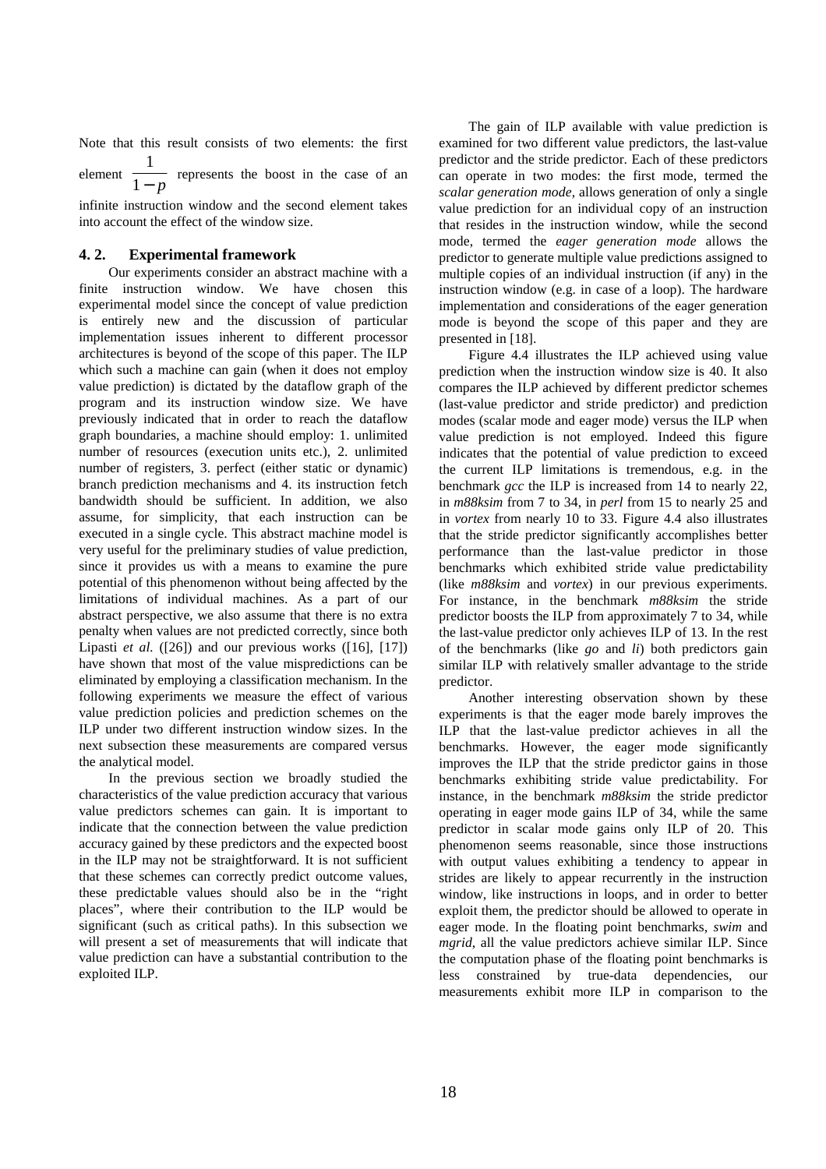Note that this result consists of two elements: the first 1

element  $\frac{1}{1-p}$  represents the boost in the case of an

infinite instruction window and the second element takes into account the effect of the window size.

### **4. 2. Experimental framework**

Our experiments consider an abstract machine with a finite instruction window. We have chosen this experimental model since the concept of value prediction is entirely new and the discussion of particular implementation issues inherent to different processor architectures is beyond of the scope of this paper. The ILP which such a machine can gain (when it does not employ value prediction) is dictated by the dataflow graph of the program and its instruction window size. We have previously indicated that in order to reach the dataflow graph boundaries, a machine should employ: 1. unlimited number of resources (execution units etc.), 2. unlimited number of registers, 3. perfect (either static or dynamic) branch prediction mechanisms and 4. its instruction fetch bandwidth should be sufficient. In addition, we also assume, for simplicity, that each instruction can be executed in a single cycle. This abstract machine model is very useful for the preliminary studies of value prediction, since it provides us with a means to examine the pure potential of this phenomenon without being affected by the limitations of individual machines. As a part of our abstract perspective, we also assume that there is no extra penalty when values are not predicted correctly, since both Lipasti *et al.* ([26]) and our previous works ([16], [17]) have shown that most of the value mispredictions can be eliminated by employing a classification mechanism. In the following experiments we measure the effect of various value prediction policies and prediction schemes on the ILP under two different instruction window sizes. In the next subsection these measurements are compared versus the analytical model.

In the previous section we broadly studied the characteristics of the value prediction accuracy that various value predictors schemes can gain. It is important to indicate that the connection between the value prediction accuracy gained by these predictors and the expected boost in the ILP may not be straightforward. It is not sufficient that these schemes can correctly predict outcome values, these predictable values should also be in the "right places", where their contribution to the ILP would be significant (such as critical paths). In this subsection we will present a set of measurements that will indicate that value prediction can have a substantial contribution to the exploited ILP.

The gain of ILP available with value prediction is examined for two different value predictors, the last-value predictor and the stride predictor. Each of these predictors can operate in two modes: the first mode, termed the *scalar generation mode*, allows generation of only a single value prediction for an individual copy of an instruction that resides in the instruction window, while the second mode, termed the *eager generation mode* allows the predictor to generate multiple value predictions assigned to multiple copies of an individual instruction (if any) in the instruction window (e.g. in case of a loop). The hardware implementation and considerations of the eager generation mode is beyond the scope of this paper and they are presented in [18].

Figure 4.4 illustrates the ILP achieved using value prediction when the instruction window size is 40. It also compares the ILP achieved by different predictor schemes (last-value predictor and stride predictor) and prediction modes (scalar mode and eager mode) versus the ILP when value prediction is not employed. Indeed this figure indicates that the potential of value prediction to exceed the current ILP limitations is tremendous, e.g. in the benchmark *gcc* the ILP is increased from 14 to nearly 22, in *m88ksim* from 7 to 34, in *perl* from 15 to nearly 25 and in *vortex* from nearly 10 to 33. Figure 4.4 also illustrates that the stride predictor significantly accomplishes better performance than the last-value predictor in those benchmarks which exhibited stride value predictability (like *m88ksim* and *vortex*) in our previous experiments. For instance, in the benchmark *m88ksim* the stride predictor boosts the ILP from approximately 7 to 34, while the last-value predictor only achieves ILP of 13. In the rest of the benchmarks (like *go* and *li*) both predictors gain similar ILP with relatively smaller advantage to the stride predictor.

Another interesting observation shown by these experiments is that the eager mode barely improves the ILP that the last-value predictor achieves in all the benchmarks. However, the eager mode significantly improves the ILP that the stride predictor gains in those benchmarks exhibiting stride value predictability. For instance, in the benchmark *m88ksim* the stride predictor operating in eager mode gains ILP of 34, while the same predictor in scalar mode gains only ILP of 20. This phenomenon seems reasonable, since those instructions with output values exhibiting a tendency to appear in strides are likely to appear recurrently in the instruction window, like instructions in loops, and in order to better exploit them, the predictor should be allowed to operate in eager mode. In the floating point benchmarks, *swim* and *mgrid*, all the value predictors achieve similar ILP. Since the computation phase of the floating point benchmarks is less constrained by true-data dependencies, our measurements exhibit more ILP in comparison to the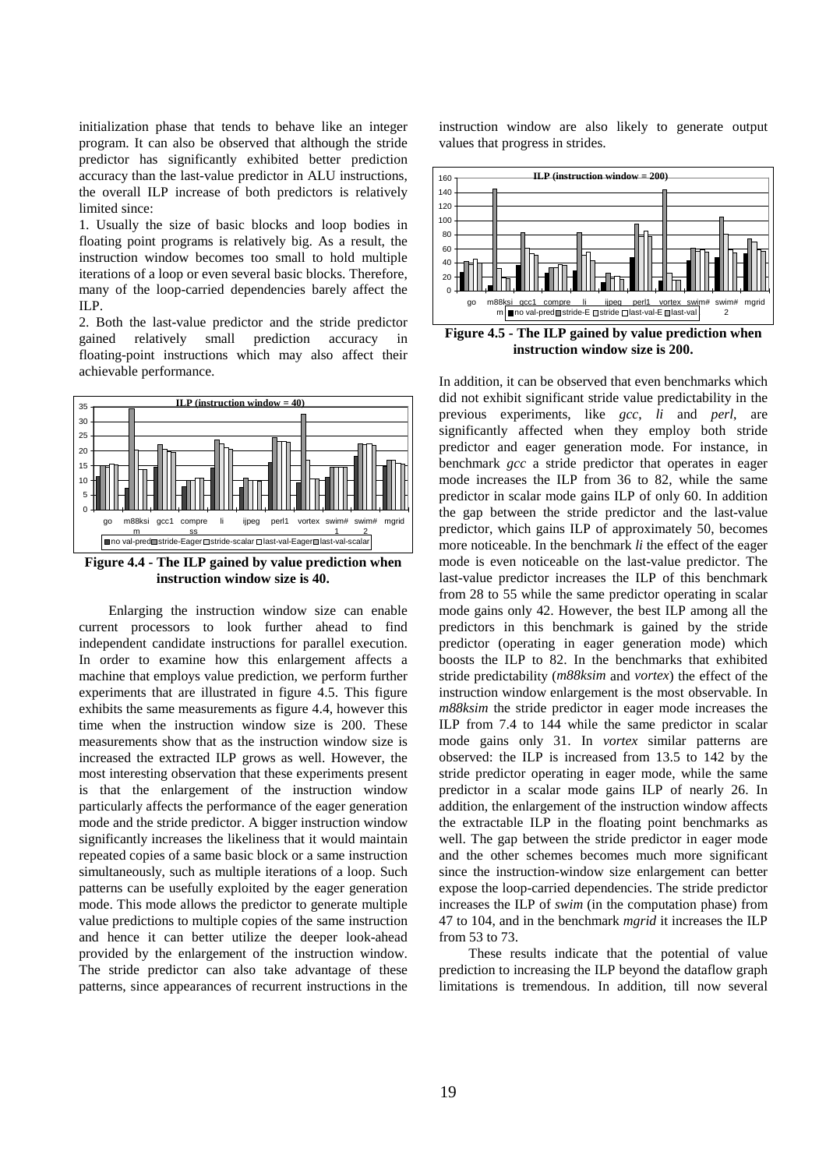initialization phase that tends to behave like an integer program. It can also be observed that although the stride predictor has significantly exhibited better prediction accuracy than the last-value predictor in ALU instructions, the overall ILP increase of both predictors is relatively limited since:

1. Usually the size of basic blocks and loop bodies in floating point programs is relatively big. As a result, the instruction window becomes too small to hold multiple iterations of a loop or even several basic blocks. Therefore, many of the loop-carried dependencies barely affect the ILP.

2. Both the last-value predictor and the stride predictor gained relatively small prediction accuracy in floating-point instructions which may also affect their achievable performance.



**Figure 4.4 - The ILP gained by value prediction when instruction window size is 40.**

Enlarging the instruction window size can enable current processors to look further ahead to find independent candidate instructions for parallel execution. In order to examine how this enlargement affects a machine that employs value prediction, we perform further experiments that are illustrated in figure 4.5. This figure exhibits the same measurements as figure 4.4, however this time when the instruction window size is 200. These measurements show that as the instruction window size is increased the extracted ILP grows as well. However, the most interesting observation that these experiments present is that the enlargement of the instruction window particularly affects the performance of the eager generation mode and the stride predictor. A bigger instruction window significantly increases the likeliness that it would maintain repeated copies of a same basic block or a same instruction simultaneously, such as multiple iterations of a loop. Such patterns can be usefully exploited by the eager generation mode. This mode allows the predictor to generate multiple value predictions to multiple copies of the same instruction and hence it can better utilize the deeper look-ahead provided by the enlargement of the instruction window. The stride predictor can also take advantage of these patterns, since appearances of recurrent instructions in the

instruction window are also likely to generate output values that progress in strides.



**Figure 4.5 - The ILP gained by value prediction when instruction window size is 200.**

In addition, it can be observed that even benchmarks which did not exhibit significant stride value predictability in the previous experiments, like *gcc*, *li* and *perl*, are significantly affected when they employ both stride predictor and eager generation mode. For instance, in benchmark *gcc* a stride predictor that operates in eager mode increases the ILP from 36 to 82, while the same predictor in scalar mode gains ILP of only 60. In addition the gap between the stride predictor and the last-value predictor, which gains ILP of approximately 50, becomes more noticeable. In the benchmark *li* the effect of the eager mode is even noticeable on the last-value predictor. The last-value predictor increases the ILP of this benchmark from 28 to 55 while the same predictor operating in scalar mode gains only 42. However, the best ILP among all the predictors in this benchmark is gained by the stride predictor (operating in eager generation mode) which boosts the ILP to 82. In the benchmarks that exhibited stride predictability (*m88ksim* and *vortex*) the effect of the instruction window enlargement is the most observable. In *m88ksim* the stride predictor in eager mode increases the ILP from 7.4 to 144 while the same predictor in scalar mode gains only 31. In *vortex* similar patterns are observed: the ILP is increased from 13.5 to 142 by the stride predictor operating in eager mode, while the same predictor in a scalar mode gains ILP of nearly 26. In addition, the enlargement of the instruction window affects the extractable ILP in the floating point benchmarks as well. The gap between the stride predictor in eager mode and the other schemes becomes much more significant since the instruction-window size enlargement can better expose the loop-carried dependencies. The stride predictor increases the ILP of *swim* (in the computation phase) from 47 to 104, and in the benchmark *mgrid* it increases the ILP from 53 to 73.

These results indicate that the potential of value prediction to increasing the ILP beyond the dataflow graph limitations is tremendous. In addition, till now several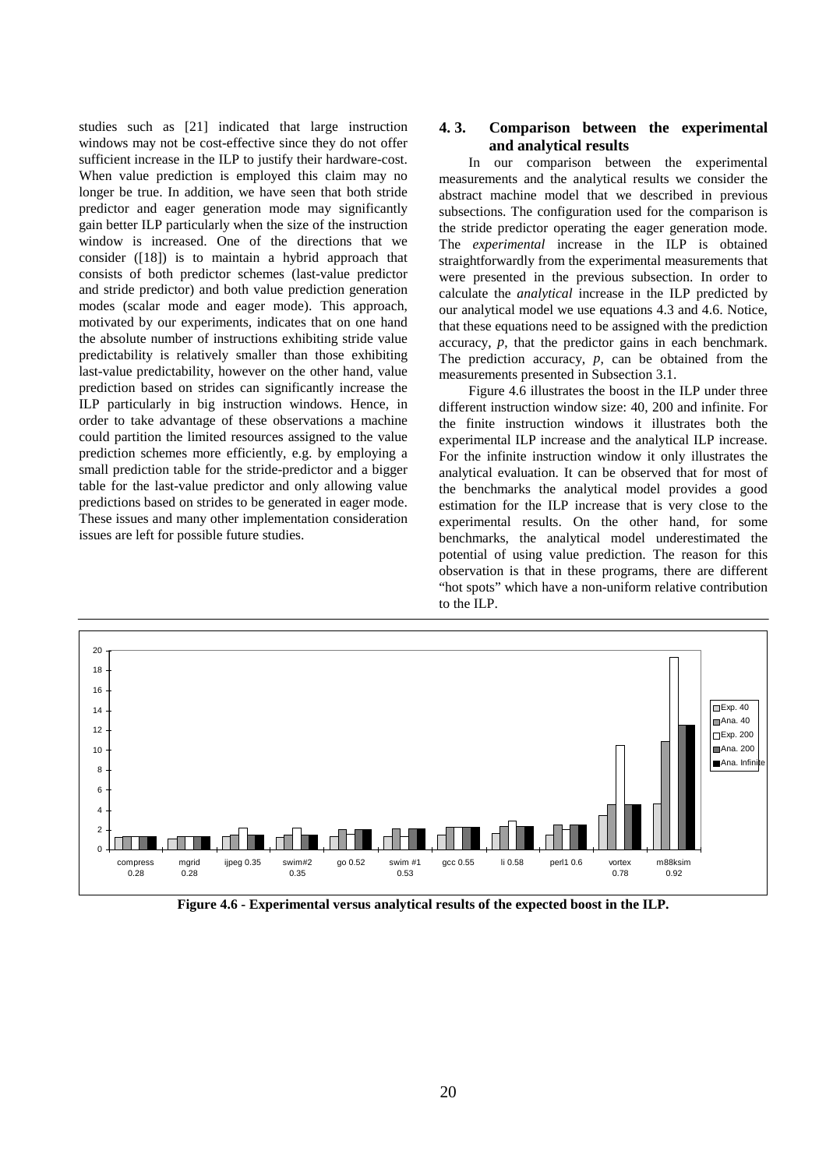studies such as [21] indicated that large instruction windows may not be cost-effective since they do not offer sufficient increase in the ILP to justify their hardware-cost. When value prediction is employed this claim may no longer be true. In addition, we have seen that both stride predictor and eager generation mode may significantly gain better ILP particularly when the size of the instruction window is increased. One of the directions that we consider ([18]) is to maintain a hybrid approach that consists of both predictor schemes (last-value predictor and stride predictor) and both value prediction generation modes (scalar mode and eager mode). This approach, motivated by our experiments, indicates that on one hand the absolute number of instructions exhibiting stride value predictability is relatively smaller than those exhibiting last-value predictability, however on the other hand, value prediction based on strides can significantly increase the ILP particularly in big instruction windows. Hence, in order to take advantage of these observations a machine could partition the limited resources assigned to the value prediction schemes more efficiently, e.g. by employing a small prediction table for the stride-predictor and a bigger table for the last-value predictor and only allowing value predictions based on strides to be generated in eager mode. These issues and many other implementation consideration issues are left for possible future studies.

## **4. 3. Comparison between the experimental and analytical results**

In our comparison between the experimental measurements and the analytical results we consider the abstract machine model that we described in previous subsections. The configuration used for the comparison is the stride predictor operating the eager generation mode. The *experimental* increase in the ILP is obtained straightforwardly from the experimental measurements that were presented in the previous subsection. In order to calculate the *analytical* increase in the ILP predicted by our analytical model we use equations 4.3 and 4.6. Notice, that these equations need to be assigned with the prediction accuracy, *p*, that the predictor gains in each benchmark. The prediction accuracy, *p*, can be obtained from the measurements presented in Subsection 3.1.

Figure 4.6 illustrates the boost in the ILP under three different instruction window size: 40, 200 and infinite. For the finite instruction windows it illustrates both the experimental ILP increase and the analytical ILP increase. For the infinite instruction window it only illustrates the analytical evaluation. It can be observed that for most of the benchmarks the analytical model provides a good estimation for the ILP increase that is very close to the experimental results. On the other hand, for some benchmarks, the analytical model underestimated the potential of using value prediction. The reason for this observation is that in these programs, there are different "hot spots" which have a non-uniform relative contribution to the ILP.



**Figure 4.6 - Experimental versus analytical results of the expected boost in the ILP.**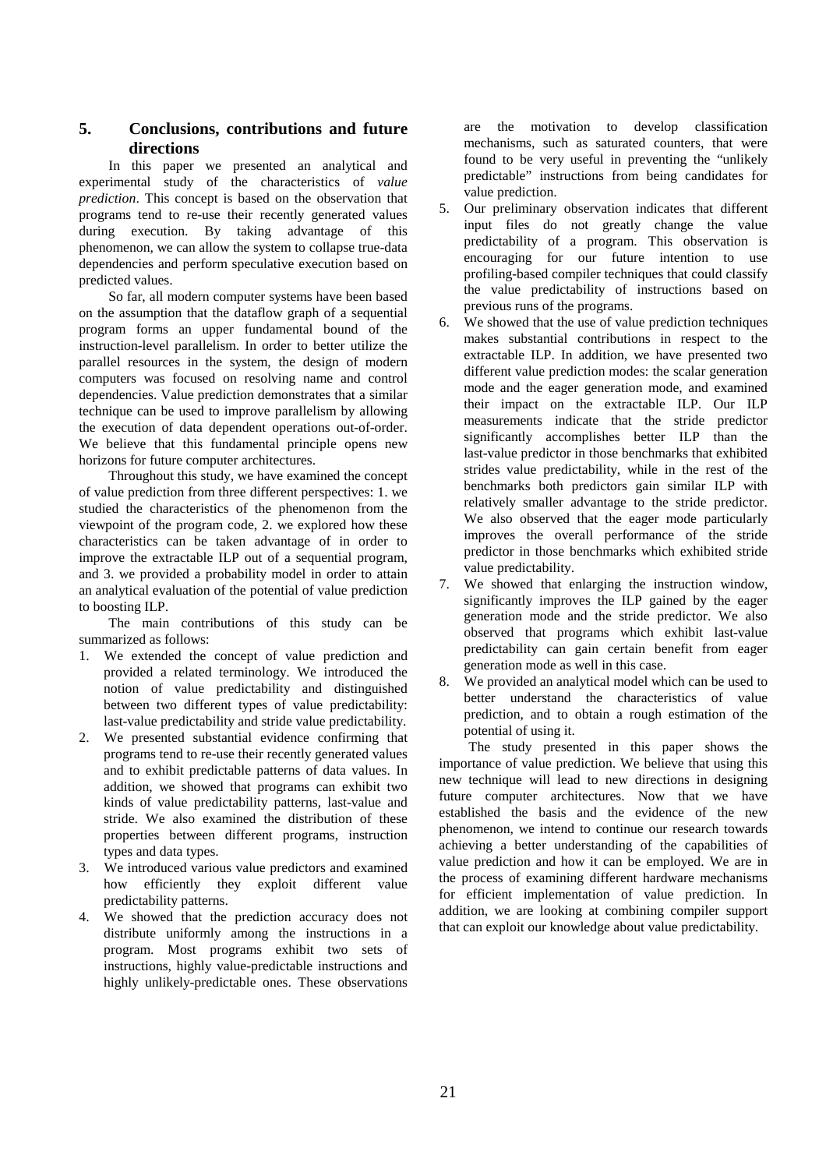# **5. Conclusions, contributions and future directions**

In this paper we presented an analytical and experimental study of the characteristics of *value prediction*. This concept is based on the observation that programs tend to re-use their recently generated values during execution. By taking advantage of this phenomenon, we can allow the system to collapse true-data dependencies and perform speculative execution based on predicted values.

So far, all modern computer systems have been based on the assumption that the dataflow graph of a sequential program forms an upper fundamental bound of the instruction-level parallelism. In order to better utilize the parallel resources in the system, the design of modern computers was focused on resolving name and control dependencies. Value prediction demonstrates that a similar technique can be used to improve parallelism by allowing the execution of data dependent operations out-of-order. We believe that this fundamental principle opens new horizons for future computer architectures.

Throughout this study, we have examined the concept of value prediction from three different perspectives: 1. we studied the characteristics of the phenomenon from the viewpoint of the program code, 2. we explored how these characteristics can be taken advantage of in order to improve the extractable ILP out of a sequential program, and 3. we provided a probability model in order to attain an analytical evaluation of the potential of value prediction to boosting ILP.

The main contributions of this study can be summarized as follows:

- 1. We extended the concept of value prediction and provided a related terminology. We introduced the notion of value predictability and distinguished between two different types of value predictability: last-value predictability and stride value predictability.
- 2. We presented substantial evidence confirming that programs tend to re-use their recently generated values and to exhibit predictable patterns of data values. In addition, we showed that programs can exhibit two kinds of value predictability patterns, last-value and stride. We also examined the distribution of these properties between different programs, instruction types and data types.
- 3. We introduced various value predictors and examined how efficiently they exploit different value predictability patterns.
- 4. We showed that the prediction accuracy does not distribute uniformly among the instructions in a program. Most programs exhibit two sets of instructions, highly value-predictable instructions and highly unlikely-predictable ones. These observations

are the motivation to develop classification mechanisms, such as saturated counters, that were found to be very useful in preventing the "unlikely predictable" instructions from being candidates for value prediction.

- 5. Our preliminary observation indicates that different input files do not greatly change the value predictability of a program. This observation is encouraging for our future intention to use profiling-based compiler techniques that could classify the value predictability of instructions based on previous runs of the programs.
- 6. We showed that the use of value prediction techniques makes substantial contributions in respect to the extractable ILP. In addition, we have presented two different value prediction modes: the scalar generation mode and the eager generation mode, and examined their impact on the extractable ILP. Our ILP measurements indicate that the stride predictor significantly accomplishes better ILP than the last-value predictor in those benchmarks that exhibited strides value predictability, while in the rest of the benchmarks both predictors gain similar ILP with relatively smaller advantage to the stride predictor. We also observed that the eager mode particularly improves the overall performance of the stride predictor in those benchmarks which exhibited stride value predictability.
- 7. We showed that enlarging the instruction window, significantly improves the ILP gained by the eager generation mode and the stride predictor. We also observed that programs which exhibit last-value predictability can gain certain benefit from eager generation mode as well in this case.
- 8. We provided an analytical model which can be used to better understand the characteristics of value prediction, and to obtain a rough estimation of the potential of using it.

The study presented in this paper shows the importance of value prediction. We believe that using this new technique will lead to new directions in designing future computer architectures. Now that we have established the basis and the evidence of the new phenomenon, we intend to continue our research towards achieving a better understanding of the capabilities of value prediction and how it can be employed. We are in the process of examining different hardware mechanisms for efficient implementation of value prediction. In addition, we are looking at combining compiler support that can exploit our knowledge about value predictability.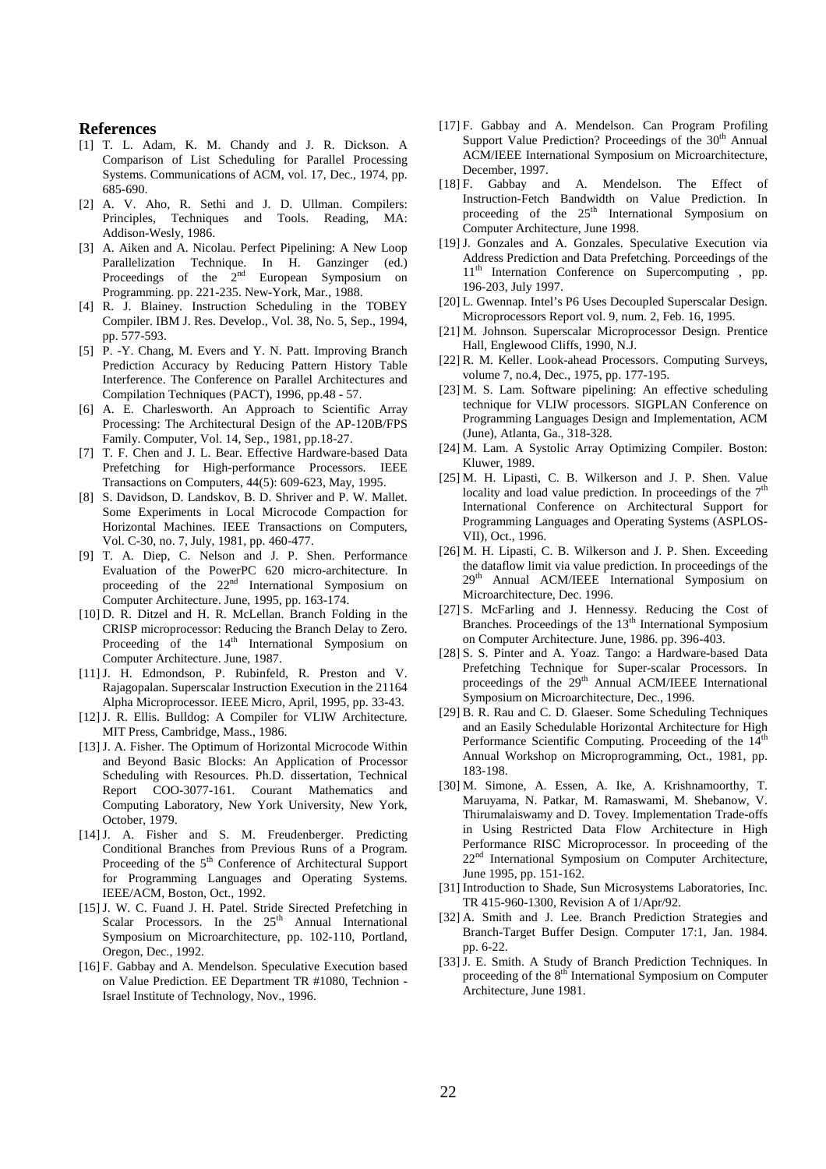#### **References**

- [1] T. L. Adam, K. M. Chandy and J. R. Dickson. A Comparison of List Scheduling for Parallel Processing Systems. Communications of ACM, vol. 17, Dec., 1974, pp. 685-690.
- [2] A. V. Aho, R. Sethi and J. D. Ullman. Compilers: Principles, Techniques and Tools. Reading, MA: Addison-Wesly, 1986.
- [3] A. Aiken and A. Nicolau. Perfect Pipelining: A New Loop Parallelization Technique. In H. Ganzinger (ed.) Proceedings of the  $2<sup>nd</sup>$  European Symposium on Programming. pp. 221-235. New-York, Mar., 1988.
- [4] R. J. Blainey. Instruction Scheduling in the TOBEY Compiler. IBM J. Res. Develop., Vol. 38, No. 5, Sep., 1994, pp. 577-593.
- [5] P. -Y. Chang, M. Evers and Y. N. Patt. Improving Branch Prediction Accuracy by Reducing Pattern History Table Interference. The Conference on Parallel Architectures and Compilation Techniques (PACT), 1996, pp.48 - 57.
- [6] A. E. Charlesworth. An Approach to Scientific Array Processing: The Architectural Design of the AP-120B/FPS Family. Computer, Vol. 14, Sep., 1981, pp.18-27.
- [7] T. F. Chen and J. L. Bear. Effective Hardware-based Data Prefetching for High-performance Processors. IEEE Transactions on Computers, 44(5): 609-623, May, 1995.
- [8] S. Davidson, D. Landskov, B. D. Shriver and P. W. Mallet. Some Experiments in Local Microcode Compaction for Horizontal Machines. IEEE Transactions on Computers, Vol. C-30, no. 7, July, 1981, pp. 460-477.
- [9] T. A. Diep, C. Nelson and J. P. Shen. Performance Evaluation of the PowerPC 620 micro-architecture. In proceeding of the 22<sup>nd</sup> International Symposium on Computer Architecture. June, 1995, pp. 163-174.
- [10] D. R. Ditzel and H. R. McLellan. Branch Folding in the CRISP microprocessor: Reducing the Branch Delay to Zero. Proceeding of the 14<sup>th</sup> International Symposium on Computer Architecture. June, 1987.
- [11] J. H. Edmondson, P. Rubinfeld, R. Preston and V. Rajagopalan. Superscalar Instruction Execution in the 21164 Alpha Microprocessor. IEEE Micro, April, 1995, pp. 33-43.
- [12] J. R. Ellis. Bulldog: A Compiler for VLIW Architecture. MIT Press, Cambridge, Mass., 1986.
- [13] J. A. Fisher. The Optimum of Horizontal Microcode Within and Beyond Basic Blocks: An Application of Processor Scheduling with Resources. Ph.D. dissertation, Technical Report COO-3077-161. Courant Mathematics and Computing Laboratory, New York University, New York, October, 1979.
- [14] J. A. Fisher and S. M. Freudenberger. Predicting Conditional Branches from Previous Runs of a Program. Proceeding of the 5<sup>th</sup> Conference of Architectural Support for Programming Languages and Operating Systems. IEEE/ACM, Boston, Oct., 1992.
- [15] J. W. C. Fuand J. H. Patel. Stride Sirected Prefetching in Scalar Processors. In the 25<sup>th</sup> Annual International Symposium on Microarchitecture, pp. 102-110, Portland, Oregon, Dec., 1992.
- [16] F. Gabbay and A. Mendelson. Speculative Execution based on Value Prediction. EE Department TR #1080, Technion - Israel Institute of Technology, Nov., 1996.
- [17] F. Gabbay and A. Mendelson. Can Program Profiling Support Value Prediction? Proceedings of the  $30<sup>th</sup>$  Annual ACM/IEEE International Symposium on Microarchitecture, December, 1997.
- [18] F. Gabbay and A. Mendelson. The Effect of Instruction-Fetch Bandwidth on Value Prediction. In proceeding of the  $25<sup>th</sup>$  International Symposium on Computer Architecture, June 1998.
- [19] J. Gonzales and A. Gonzales. Speculative Execution via Address Prediction and Data Prefetching. Porceedings of the 11<sup>th</sup> Internation Conference on Supercomputing , pp. 196-203, July 1997.
- [20] L. Gwennap. Intel's P6 Uses Decoupled Superscalar Design. Microprocessors Report vol. 9, num. 2, Feb. 16, 1995.
- [21] M. Johnson. Superscalar Microprocessor Design. Prentice Hall, Englewood Cliffs, 1990, N.J.
- [22] R. M. Keller. Look-ahead Processors. Computing Surveys, volume 7, no.4, Dec., 1975, pp. 177-195.
- [23] M. S. Lam. Software pipelining: An effective scheduling technique for VLIW processors. SIGPLAN Conference on Programming Languages Design and Implementation, ACM (June), Atlanta, Ga., 318-328.
- [24] M. Lam. A Systolic Array Optimizing Compiler. Boston: Kluwer, 1989.
- [25] M. H. Lipasti, C. B. Wilkerson and J. P. Shen. Value locality and load value prediction. In proceedings of the  $7<sup>th</sup>$ International Conference on Architectural Support for Programming Languages and Operating Systems (ASPLOS-VII), Oct., 1996.
- [26] M. H. Lipasti, C. B. Wilkerson and J. P. Shen. Exceeding the dataflow limit via value prediction. In proceedings of the 29<sup>th</sup> Annual ACM/IEEE International Symposium on Microarchitecture, Dec. 1996.
- [27] S. McFarling and J. Hennessy. Reducing the Cost of Branches. Proceedings of the 13<sup>th</sup> International Symposium on Computer Architecture. June, 1986. pp. 396-403.
- [28] S. S. Pinter and A. Yoaz. Tango: a Hardware-based Data Prefetching Technique for Super-scalar Processors. In proceedings of the 29<sup>th</sup> Annual ACM/IEEE International Symposium on Microarchitecture, Dec., 1996.
- [29] B. R. Rau and C. D. Glaeser. Some Scheduling Techniques and an Easily Schedulable Horizontal Architecture for High Performance Scientific Computing. Proceeding of the 14<sup>th</sup> Annual Workshop on Microprogramming, Oct., 1981, pp. 183-198.
- [30] M. Simone, A. Essen, A. Ike, A. Krishnamoorthy, T. Maruyama, N. Patkar, M. Ramaswami, M. Shebanow, V. Thirumalaiswamy and D. Tovey. Implementation Trade-offs in Using Restricted Data Flow Architecture in High Performance RISC Microprocessor. In proceeding of the 22<sup>nd</sup> International Symposium on Computer Architecture, June 1995, pp. 151-162.
- [31] Introduction to Shade, Sun Microsystems Laboratories, Inc. TR 415-960-1300, Revision A of 1/Apr/92.
- [32] A. Smith and J. Lee. Branch Prediction Strategies and Branch-Target Buffer Design. Computer 17:1, Jan. 1984. pp. 6-22.
- [33] J. E. Smith. A Study of Branch Prediction Techniques. In proceeding of the 8<sup>th</sup> International Symposium on Computer Architecture, June 1981.